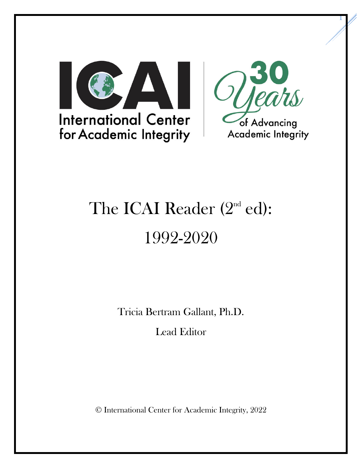



1

# The ICAI Reader  $(2<sup>nd</sup>$  ed): 1992-2020

Tricia Bertram Gallant, Ph.D.

Lead Editor

© International Center for Academic Integrity, 2022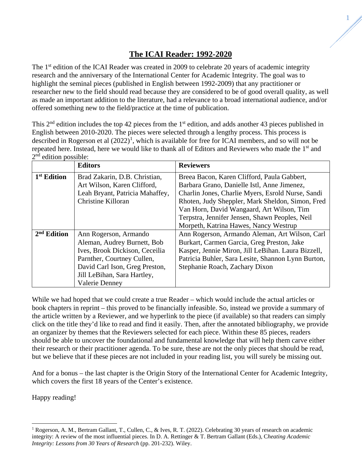1

The 1<sup>st</sup> edition of the ICAI Reader was created in 2009 to celebrate 20 years of academic integrity research and the anniversary of the International Center for Academic Integrity. The goal was to highlight the seminal pieces (published in English between 1992-2009) that any practitioner or researcher new to the field should read because they are considered to be of good overall quality, as well as made an important addition to the literature, had a relevance to a broad international audience, and/or offered something new to the field/practice at the time of publication.

This 2<sup>nd</sup> edition includes the top 42 pieces from the 1<sup>st</sup> edition, and adds another 43 pieces published in English between 2010-2020. The pieces were selected through a lengthy process. This process is described in Rogerson et al  $(2022)^1$  $(2022)^1$ , which is available for free for ICAI members, and so will not be repeated here. Instead, here we would like to thank all of Editors and Reviewers who made the 1<sup>st</sup> and  $2<sup>nd</sup>$  edition possible:

|                         | <b>Editors</b>                  | <b>Reviewers</b>                                   |  |  |  |  |  |
|-------------------------|---------------------------------|----------------------------------------------------|--|--|--|--|--|
| 1 <sup>st</sup> Edition | Brad Zakarin, D.B. Christian,   | Breea Bacon, Karen Clifford, Paula Gabbert,        |  |  |  |  |  |
|                         | Art Wilson, Karen Clifford,     | Barbara Grano, Danielle Istl, Anne Jimenez,        |  |  |  |  |  |
|                         | Leah Bryant, Patricia Mahaffey, | Charlin Jones, Charlie Myers, Esrold Nurse, Sandi  |  |  |  |  |  |
|                         | Christine Killoran              | Rhoten, Judy Sheppler, Mark Sheldon, Simon, Fred   |  |  |  |  |  |
|                         |                                 | Van Horn, David Wangaard, Art Wilson, Tim          |  |  |  |  |  |
|                         |                                 | Terpstra, Jennifer Jensen, Shawn Peoples, Neil     |  |  |  |  |  |
|                         |                                 | Morpeth, Katrina Hawes, Nancy Westrup              |  |  |  |  |  |
| $2nd$ Edition           | Ann Rogerson, Armando           | Ann Rogerson, Armando Aleman, Art Wilson, Carl     |  |  |  |  |  |
|                         | Aleman, Audrey Burnett, Bob     | Burkart, Carmen Garcia, Greg Preston, Jake         |  |  |  |  |  |
|                         | Ives, Brook Dickison, Ceceilia  | Kasper, Jennie Miron, Jill LeBihan. Laura Bizzell, |  |  |  |  |  |
|                         | Parnther, Courtney Cullen,      | Patricia Buhler, Sara Lesite, Shannon Lynn Burton, |  |  |  |  |  |
|                         | David Carl Ison, Greg Preston,  | Stephanie Roach, Zachary Dixon                     |  |  |  |  |  |
|                         | Jill LeBihan, Sara Hartley,     |                                                    |  |  |  |  |  |
|                         | <b>Valerie Denney</b>           |                                                    |  |  |  |  |  |

While we had hoped that we could create a true Reader – which would include the actual articles or book chapters in reprint – this proved to be financially infeasible. So, instead we provide a summary of the article written by a Reviewer, and we hyperlink to the piece (if available) so that readers can simply click on the title they'd like to read and find it easily. Then, after the annotated bibliography, we provide an organizer by themes that the Reviewers selected for each piece. Within these 85 pieces, readers should be able to uncover the foundational and fundamental knowledge that will help them carve either their research or their practitioner agenda. To be sure, these are not the only pieces that should be read, but we believe that if these pieces are not included in your reading list, you will surely be missing out.

And for a bonus – the last chapter is the Origin Story of the International Center for Academic Integrity, which covers the first 18 years of the Center's existence.

Happy reading!

<span id="page-1-0"></span><sup>&</sup>lt;sup>1</sup> Rogerson, A. M., Bertram Gallant, T., Cullen, C., & Ives, R. T. (2022). Celebrating 30 years of research on academic integrity: A review of the most influential pieces. In D. A. Rettinger & T. Bertram Gallant (Eds.), C*heating Academic Integrity: Lessons from 30 Years of Research* (pp. 201-232). Wiley.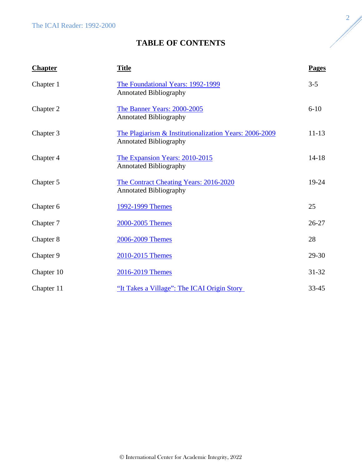# **TABLE OF CONTENTS**

| <b>Chapter</b> | <b>Title</b>                                                                            | <b>Pages</b> |
|----------------|-----------------------------------------------------------------------------------------|--------------|
| Chapter 1      | The Foundational Years: 1992-1999<br><b>Annotated Bibliography</b>                      | $3 - 5$      |
| Chapter 2      | The Banner Years: 2000-2005<br><b>Annotated Bibliography</b>                            | $6 - 10$     |
| Chapter 3      | The Plagiarism & Institutionalization Years: 2006-2009<br><b>Annotated Bibliography</b> | $11 - 13$    |
| Chapter 4      | The Expansion Years: 2010-2015<br><b>Annotated Bibliography</b>                         | $14 - 18$    |
| Chapter 5      | The Contract Cheating Years: 2016-2020<br><b>Annotated Bibliography</b>                 | $19-24$      |
| Chapter 6      | 1992-1999 Themes                                                                        | 25           |
| Chapter 7      | 2000-2005 Themes                                                                        | $26 - 27$    |
| Chapter 8      | 2006-2009 Themes                                                                        | 28           |
| Chapter 9      | 2010-2015 Themes                                                                        | 29-30        |
| Chapter 10     | 2016-2019 Themes                                                                        | $31 - 32$    |
| Chapter 11     | "It Takes a Village": The ICAI Origin Story                                             | $33 - 45$    |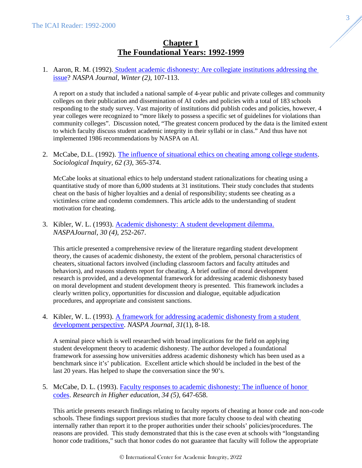# **Chapter 1 The Foundational Years: 1992-1999**

<span id="page-3-0"></span>1. Aaron, R. M. (1992). [Student academic dishonesty: Are collegiate institutions addressing the](.https:/doi.org/10.1080/00220973.1992.11072251)  [issue?](.https:/doi.org/10.1080/00220973.1992.11072251) *NASPA Journal, Winter (2)*, 107-113.

A report on a study that included a national sample of 4-year public and private colleges and community colleges on their publication and dissemination of AI codes and policies with a total of 183 schools responding to the study survey. Vast majority of institutions did publish codes and policies, however, 4 year colleges were recognized to "more likely to possess a specific set of guidelines for violations than community colleges". Discussion noted, "The greatest concern produced by the data is the limited extent to which faculty discuss student academic integrity in their syllabi or in class." And thus have not implemented 1986 recommendations by NASPA on AI.

2. McCabe, D.L. (1992). [The influence of situational ethics on cheating among college students.](https://doi.org/10.1111/j.1475-682X.1992.tb00287.x) *Sociological Inquiry, 62 (3)*, 365-374.

McCabe looks at situational ethics to help understand student rationalizations for cheating using a quantitative study of more than 6,000 students at 31 institutions. Their study concludes that students cheat on the basis of higher loyalties and a denial of responsibility; students see cheating as a victimless crime and condemn comdemners. This article adds to the understanding of student motivation for cheating.

3. Kibler, W. L. (1993). [Academic dishonesty: A student development dilemma.](https://doi.org/10.1080/00220973.1993.11072323) *NASPAJournal, 30 (4)*, 252-267.

This article presented a comprehensive review of the literature regarding student development theory, the causes of academic dishonesty, the extent of the problem, personal characteristics of cheaters, situational factors involved (including classroom factors and faculty attitudes and behaviors), and reasons students report for cheating. A brief outline of moral development research is provided, and a developmental framework for addressing academic dishonesty based on moral development and student development theory is presented. This framework includes a clearly written policy, opportunities for discussion and dialogue, equitable adjudication procedures, and appropriate and consistent sanctions.

4. Kibler, W. L. (1993). [A framework for addressing academic dishonesty from a student](https://doi.org/10.1080/00220973.1993.11072332)  [development perspective.](https://doi.org/10.1080/00220973.1993.11072332) *NASPA Journal, 31*(1), 8-18.

A seminal piece which is well researched with broad implications for the field on applying student development theory to academic dishonesty. The author developed a foundational framework for assessing how universities address academic dishonesty which has been used as a benchmark since it's' publication. Excellent article which should be included in the best of the last 20 years. Has helped to shape the conversation since the 90's.

5. McCabe, D. L. (1993). [Faculty responses to academic dishonesty: The influence of honor](https://doi.org/10.1007/BF00991924)  [codes.](https://doi.org/10.1007/BF00991924) *Research in Higher education, 34 (5),* 647-658.

This article presents research findings relating to faculty reports of cheating at honor code and non-code schools. These findings support previous studies that more faculty choose to deal with cheating internally rather than report it to the proper authorities under their schools' policies/procedures. The reasons are provided. This study demonstrated that this is the case even at schools with "longstanding honor code traditions," such that honor codes do not guarantee that faculty will follow the appropriate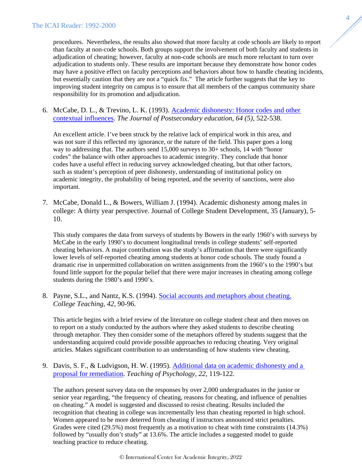procedures. Nevertheless, the results also showed that more faculty at code schools are likely to report than faculty at non-code schools. Both groups support the involvement of both faculty and students in adjudication of cheating; however, faculty at non-code schools are much more reluctant to turn over adjudication to students only. These results are important because they demonstrate how honor codes may have a positive effect on faculty perceptions and behaviors about how to handle cheating incidents, but essentially caution that they are not a "quick fix." The article further suggests that the key to improving student integrity on campus is to ensure that all members of the campus community share responsibility for its promotion and adjudication.

6. McCabe, D. L., & Trevino, L. K. (1993). [Academic dishonesty: Honor codes and other](https://doi.org/10.1080/00221546.1993.11778446)  [contextual influences.](https://doi.org/10.1080/00221546.1993.11778446) *The Journal of Postsecondary education, 64 (5)*, 522-538.

An excellent article. I've been struck by the relative lack of empirical work in this area, and was not sure if this reflected my ignorance, or the nature of the field. This paper goes a long way to addressing that. The authors send 15,000 surveys to 30+ schools, 14 with "honor codes" the balance with other approaches to academic integrity. They conclude that honor codes have a useful effect in reducing survey acknowledged cheating, but that other factors, such as student's perception of peer dishonesty, understanding of institutional policy on academic integrity, the probability of being reported, and the severity of sanctions, were also important.

7. McCabe, Donald L., & Bowers, William J. (1994). Academic dishonesty among males in college: A thirty year perspective. Journal of College Student Development, 35 (January), 5- 10.

This study compares the data from surveys of students by Bowers in the early 1960's with surveys by McCabe in the early 1990's to document longitudinal trends in college students' self-reported cheating behaviors. A major contribution was the study's affirmation that there were significantly lower levels of self-reported cheating among students at honor code schools. The study found a dramatic rise in unpermitted collaboration on written assignments from the 1960's to the 1990's but found little support for the popular belief that there were major increases in cheating among college students during the 1980's and 1990's.

8. Payne, S.L., and Nantz, K.S. (1994). [Social accounts and metaphors about cheating.](https://www.jstor.org/stable/27558657) *College Teaching, 42*, 90-96.

This article begins with a brief review of the literature on college student cheat and then moves on to report on a study conducted by the authors where they asked students to describe cheating through metaphor. They then consider some of the metaphors offered by students suggest that the understanding acquired could provide possible approaches to reducing cheating. Very original articles. Makes significant contribution to an understanding of how students view cheating.

9. Davis, S. F., & Ludvigson, H. W. (1995). [Additional data on academic dishonesty and a](https://doi.org/10.1207%2Fs15328023top2202_6)  [proposal for remediation.](https://doi.org/10.1207%2Fs15328023top2202_6) *Teaching of Psychology, 22*, 119-122.

The authors present survey data on the responses by over 2,000 undergraduates in the junior or senior year regarding, "the frequency of cheating, reasons for cheating, and influence of penalties on cheating." A model is suggested and discussed to resist cheating. Results included the recognition that cheating in college was incrementally less than cheating reported in high school. Women appeared to be more deterred from cheating if instructors announced strict penalties. Grades were cited (29.5%) most frequently as a motivation to cheat with time constraints (14.3%) followed by "usually don't study" at 13.6%. The article includes a suggested model to guide teaching practice to reduce cheating.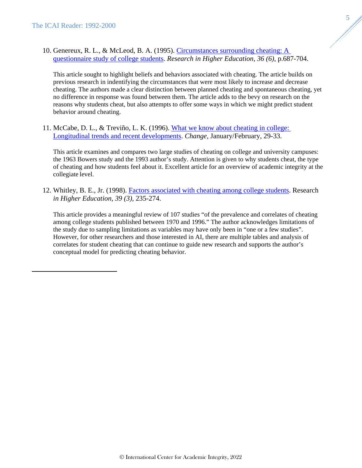10. Genereux, R. L., & McLeod, B. A. (1995). [Circumstances surrounding cheating: A](https://www.jstor.org/stable/40196166)  [questionnaire study of college students.](https://www.jstor.org/stable/40196166) *Research in Higher Education, 36 (6)*, p.687-704.

This article sought to highlight beliefs and behaviors associated with cheating. The article builds on previous research in indentifying the circumstances that were most likely to increase and decrease cheating. The authors made a clear distinction between planned cheating and spontaneous cheating, yet no difference in response was found between them. The article adds to the bevy on research on the reasons why students cheat, but also attempts to offer some ways in which we might predict student behavior around cheating.

5

11. McCabe, D. L., & Treviño, L. K. (1996). [What we know about cheating in college:](https://doi.org/10.1080/00091383.1996.10544253)  [Longitudinal trends and recent developments.](https://doi.org/10.1080/00091383.1996.10544253) *Change*, January/February, 29-33.

This article examines and compares two large studies of cheating on college and university campuses: the 1963 Bowers study and the 1993 author's study. Attention is given to why students cheat, the type of cheating and how students feel about it. Excellent article for an overview of academic integrity at the collegiate level.

12. Whitley, B. E., Jr. (1998). [Factors associated with cheating among college students.](https://link.springer.com/content/pdf/10.1023/A:1018724900565.pdf) Research *in Higher Education, 39 (3),* 235-274.

This article provides a meaningful review of 107 studies "of the prevalence and correlates of cheating among college students published between 1970 and 1996." The author acknowledges limitations of the study due to sampling limitations as variables may have only been in "one or a few studies". However, for other researchers and those interested in AI, there are multiple tables and analysis of correlates for student cheating that can continue to guide new research and supports the author's conceptual model for predicting cheating behavior.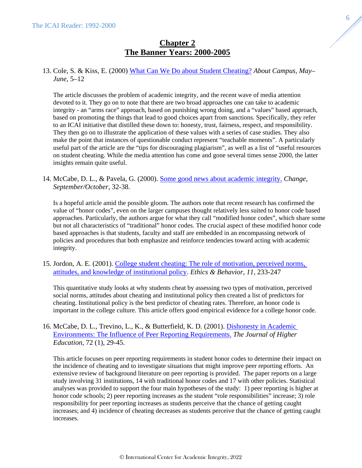# **Chapter 2 The Banner Years: 2000-2005**

# <span id="page-6-0"></span>13. Cole, S. & Kiss, E. (2000) [What Can We Do about Student Cheating?](https://doi.org/10.1177%2F108648220000500203) *About Campus, May– June*, 5–12

The article discusses the problem of academic integrity, and the recent wave of media attention devoted to it. They go on to note that there are two broad approaches one can take to academic integrity - an "arms race" approach, based on punishing wrong doing, and a "values" based approach, based on promoting the things that lead to good choices apart from sanctions. Specifically, they refer to an ICAI initiative that distilled these down to: honesty, trust, fairness, respect, and responsibility. They then go on to illustrate the application of these values with a series of case studies. They also make the point that instances of questionable conduct represent "teachable moments". A particularly useful part of the article are the "tips for discouraging plagiarism", as well as a list of "useful resources on student cheating. While the media attention has come and gone several times sense 2000, the latter insights remain quite useful.

14. McCabe, D. L., & Pavela, G. (2000). [Some good news about academic integrity.](https://doi.org/10.1080/00091380009605738) *Change, September/October*, 32-38.

Is a hopeful article amid the possible gloom. The authors note that recent research has confirmed the value of "honor codes", even on the larger campuses thought relatively less suited to honor code based approaches. Particularly, the authors argue for what they call "modified honor codes", which share some but not all characteristics of "traditional" honor codes. The crucial aspect of these modified honor code based approaches is that students, faculty and staff are embedded in an encompassing network of policies and procedures that both emphasize and reinforce tendencies toward acting with academic integrity.

15. Jordon, A. E. (2001). [College student cheating: The role of motivation, perceived norms,](http://dx.doi.org/10.1207/S15327019EB43_3)  [attitudes, and knowledge of institutional policy.](http://dx.doi.org/10.1207/S15327019EB43_3) *Ethics & Behavior, 11,* 233-247

This quantitative study looks at why students cheat by assessing two types of motivation, perceived social norms, attitudes about cheating and institutional policy then created a list of predictors for cheating. Institutional policy is the best predictor of cheating rates. Therefore, an honor code is important in the college culture. This article offers good empirical evidence for a college honor code.

# 16. McCabe, D. L., Trevino, L., K., & Butterfield, K. D. (2001). [Dishonesty in Academic](https://doi.org/10.1080/00221546.2001.11778863)  [Environments: The Influence of Peer Reporting Requirements.](https://doi.org/10.1080/00221546.2001.11778863) *[The Journal of Higher](http://www.jstor.org/action/showPublication?journalCode=jhighereducation)  [Education](http://www.jstor.org/action/showPublication?journalCode=jhighereducation)*, 72 (1), 29-45.

This article focuses on peer reporting requirements in student honor codes to determine their impact on the incidence of cheating and to investigate situations that might improve peer reporting efforts. An extensive review of background literature on peer reporting is provided. The paper reports on a large study involving 31 institutions, 14 with traditional honor codes and 17 with other policies. Statistical analyses was provided to support the four main hypotheses of the study: 1) peer reporting is higher at honor code schools; 2) peer reporting increases as the student "role responsibilities" increase; 3) role responsibility for peer reporting increases as students perceive that the chance of getting caught increases; and 4) incidence of cheating decreases as students perceive that the chance of getting caught increases.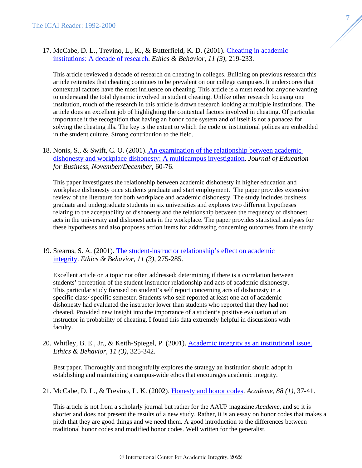17. McCabe, D. L., Trevino, L., K., & Butterfield, K. D. (2001). [Cheating in academic](https://doi.org/10.1207/S15327019EB1103_2)  [institutions: A decade of research.](https://doi.org/10.1207/S15327019EB1103_2) *Ethics & Behavior, 11 (3)*, 219-233.

This article reviewed a decade of research on cheating in colleges. Building on previous research this article reiterates that cheating continues to be prevalent on our college campuses. It underscores that contextual factors have the most influence on cheating. This article is a must read for anyone wanting to understand the total dynamic involved in student cheating. Unlike other research focusing one institution, much of the research in this article is drawn research looking at multiple institutions. The article does an excellent job of highlighting the contextual factors involved in cheating. Of particular importance it the recognition that having an honor code system and of itself is not a panacea for solving the cheating ills. The key is the extent to which the code or institutional polices are embedded in the student culture. Strong contribution to the field.

18. Nonis, S., & Swift, C. O. (2001). [An examination of the relationship between academic](https://doi.org/10.1080/08832320109599052)  [dishonesty and workplace dishonesty: A multicampus investigation.](https://doi.org/10.1080/08832320109599052) *Journal of Education for Business, November/December*, 60-76.

This paper investigates the relationship between academic dishonesty in higher education and workplace dishonesty once students graduate and start employment. The paper provides extensive review of the literature for both workplace and academic dishonesty. The study includes business graduate and undergraduate students in six universities and explores two different hypotheses relating to the acceptability of dishonesty and the relationship between the frequency of dishonest acts in the university and dishonest acts in the workplace. The paper provides statistical analyses for these hypotheses and also proposes action items for addressing concerning outcomes from the study.

19. Stearns, S. A. (2001). [The student-instructor relationship's effect on academic](https://doi.org/10.1207/S15327019EB1103_6)  [integrity.](https://doi.org/10.1207/S15327019EB1103_6) *Ethics & Behavior, 11 (3),* 275-285.

Excellent article on a topic not often addressed: determining if there is a correlation between students' perception of the student-instructor relationship and acts of academic dishonesty. This particular study focused on student's self report concerning acts of dishonesty in a specific class/ specific semester. Students who self reported at least one act of academic dishonesty had evaluated the instructor lower than students who reported that they had not cheated. Provided new insight into the importance of a student's positive evaluation of an instructor in probability of cheating. I found this data extremely helpful in discussions with faculty.

20. Whitley, B. E., Jr., & Keith-Spiegel, P. (2001). [Academic integrity as an institutional issue.](https://doi.org/10.1207/S15327019EB1103_9) *Ethics & Behavior, 11 (3)*, 325-342.

Best paper. Thoroughly and thoughtfully explores the strategy an institution should adopt in establishing and maintaining a campus-wide ethos that encourages academic integrity.

21. McCabe, D. L., & Trevino, L. K. (2002). [Honesty and honor codes.](https://doi.org/10.2307/40252118) *Academe, 88 (1)*, 37-41.

This article is not from a scholarly journal but rather for the AAUP magazine *Academe*, and so it is shorter and does not present the results of a new study. Rather, it is an essay on honor codes that makes a pitch that they are good things and we need them. A good introduction to the differences between traditional honor codes and modified honor codes. Well written for the generalist.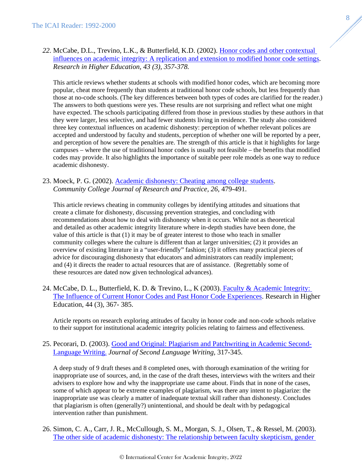# *22.* McCabe, D.L., Trevino, L.K., & Butterfield, K.D. (2002). [Honor codes and other contextual](https://doi.org/10.1023/A:1014893102151)  [influences on academic integrity: A replication and extension to modified honor code settings.](https://doi.org/10.1023/A:1014893102151) *Research in Higher Education, 43 (3), 357-378.*

This article reviews whether students at schools with modified honor codes, which are becoming more popular, cheat more frequently than students at traditional honor code schools, but less frequently than those at no-code schools. (The key differences between both types of codes are clarified for the reader.) The answers to both questions were yes. These results are not surprising and reflect what one might have expected. The schools participating differed from those in previous studies by these authors in that they were larger, less selective, and had fewer students living in residence. The study also considered three key contextual influences on academic dishonesty: perception of whether relevant polices are accepted and understood by faculty and students, perception of whether one will be reported by a peer, and perception of how severe the penalties are. The strength of this article is that it highlights for large campuses – where the use of traditional honor codes is usually not feasible – the benefits that modified codes may provide. It also highlights the importance of suitable peer role models as one way to reduce academic dishonesty.

# 23. Moeck, P. G. (2002). [Academic dishonesty: Cheating among college students.](https://doi.org/10.1080/02776770290041846) *Community College Journal of Research and Practice, 26,* 479-491.

This article reviews cheating in community colleges by identifying attitudes and situations that create a climate for dishonesty, discussing prevention strategies, and concluding with recommendations about how to deal with dishonesty when it occurs. While not as theoretical and detailed as other academic integrity literature where in-depth studies have been done, the value of this article is that (1) it may be of greater interest to those who teach in smaller community colleges where the culture is different than at larger universities; (2) it provides an overview of existing literature in a "user-friendly" fashion; (3) it offers many practical pieces of advice for discouraging dishonesty that educators and administrators can readily implement; and (4) it directs the reader to actual resources that are of assistance. (Regrettably some of these resources are dated now given technological advances).

24. McCabe, D. L., Butterfield, K. D. & Trevino, L., K (2003). Faculty & Academic Integrity: [The Influence of Current Honor Codes and Past Honor Code Experiences.](https://doi.org/10.1023/A:1023033916853) Research in Higher Education, 44 (3), 367- 385.

Article reports on research exploring attitudes of faculty in honor code and non-code schools relative to their support for institutional academic integrity policies relating to fairness and effectiveness.

# 25. Pecorari, D. (2003). [Good and Original: Plagiarism and Patchwriting in Academic Second-](https://doi.org/10.1016/j.jslw.2003.08.004)[Language Writing.](https://doi.org/10.1016/j.jslw.2003.08.004) *Journal of Second Language Writing,* 317-345.

A deep study of 9 draft theses and 8 completed ones, with thorough examination of the writing for inappropriate use of sources, and, in the case of the draft theses, interviews with the writers and their advisers to explore how and why the inappropriate use came about. Finds that in none of the cases, some of which appear to be extreme examples of plagiarism, was there any intent to plagiarize: the inappropriate use was clearly a matter of inadequate textual skill rather than dishonesty. Concludes that plagiarism is often (generally?) unintentional, and should be dealt with by pedagogical intervention rather than punishment.

26. Simon, C. A., Carr, J. R., McCullough, S. M., Morgan, S. J., Olsen, T., & Ressel, M. (2003). [The other side of academic dishonesty: The relationship between faculty skepticism, gender](https://doi.org/10.1080/02602930301669)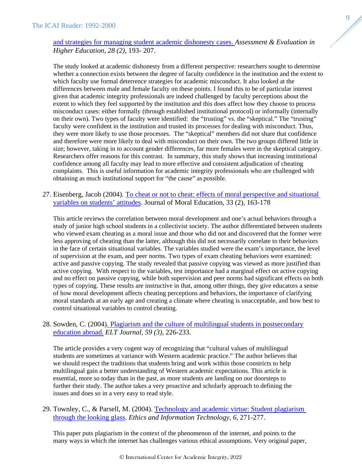# [and strategies for managing student academic dishonesty cases.](https://doi.org/10.1080/02602930301669) *Assessment & Evaluation in Higher Education, 28 (2),* 193- 207.

The study looked at academic dishonesty from a different perspective: researchers sought to determine whether a connection exists between the degree of faculty confidence in the institution and the extent to which faculty use formal deterrence strategies for academic misconduct. It also looked at the differences between male and female faculty on these points. I found this to be of particular interest given that academic integrity professionals are indeed challenged by faculty perceptions about the extent to which they feel supported by the institution and this does affect how they choose to process misconduct cases: either formally (through established institutional protocol) or informally (internally on their own). Two types of faculty were identified: the "trusting" vs. the "skeptical." The "trusting" faculty were confident in the institution and trusted its processes for dealing with misconduct. Thus, they were more likely to use those processes. The "skeptical" members did not share that confidence and therefore were more likely to deal with misconduct on their own. The two groups differed little in size; however, taking in to account gender differences, far more females were in the skeptical category. Researchers offer reasons for this contrast. In summary, this study shows that increasing institutional confidence among all faculty may lead to more effective and consistent adjudication of cheating complaints. This is useful information for academic integrity professionals who are challenged with obtaining as much institutional support for "the cause" as possible.

27. Eisenberg, Jacob (2004). [To cheat or not to cheat: effects of moral perspective and situational](https://doi.org/10.1080/0305724042000215276)  [variables on students' attitudes.](https://doi.org/10.1080/0305724042000215276) Journal of Moral Education, 33 (2), 163-178

This article reviews the correlation between moral development and one's actual behaviors through a study of junior high school students in a collectivist society. The author differentiated between students who viewed exam cheating as a moral issue and those who did not and discovered that the former were less approving of cheating than the latter, although this did not necessarily correlate to their behaviors in the face of certain situational variables. The variables studied were the exam's importance, the level of supervision at the exam, and peer norms. Two types of exam cheating behaviors were examined: active and passive copying. The study revealed that passive copying was viewed as more justified than active copying. With respect to the variables, test importance had a marginal effect on active copying and no effect on passive copying, while both supervision and peer norms had significant effects on both types of copying. These results are instructive in that, among other things, they give educators a sense of how moral development affects cheating perceptions and behaviors, the importance of clarifying moral standards at an early age and creating a climate where cheating is unacceptable, and how best to control situational variables to control cheating.

# 28. Sowden, C. (2004[\). Plagiarism and the culture of multilingual students in postsecondary](https://doi.org/10.1093/elt/cci042)  [education abroad.](https://doi.org/10.1093/elt/cci042) *ELT Journal, 59 (3),* 226-233.

The article provides a very cogent way of recognizing that "cultural values of multilingual students are sometimes at variance with Western academic practice." The author believes that we should respect the traditions that students bring and work within those constricts to help multilingual gain a better understanding of Western academic expectations. This article is essential, more so today than in the past, as more students are landing on our doorsteps to further their study. The author takes a very proactive and scholarly approach to defining the issues and does so in a very easy to read style.

# 29. Townley, C., & Parsell, M. (2004). Technology and academic virtue: Student plagiarism [through the looking glass.](https://doi.org/10.1007/s10676-005-5606-8) *Ethics and Information Technology, 6,* 271-277.

This paper puts plagiarism in the context of the phenomenon of the internet, and points to the many ways in which the internet has challenges various ethical assumptions. Very original paper,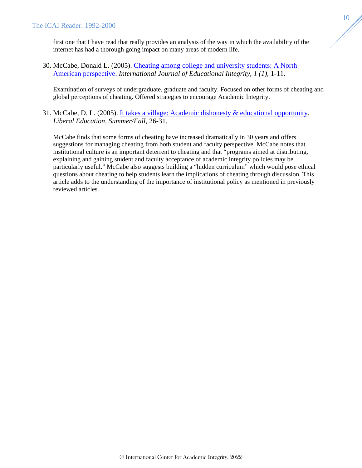first one that I have read that really provides an analysis of the way in which the availability of the internet has had a thorough going impact on many areas of modern life.

30. McCabe, Donald L. (2005). [Cheating among college and university students: A North](https://doi.org/10.21913/IJEI.v1i1.14)  [American perspective.](https://doi.org/10.21913/IJEI.v1i1.14) *International Journal of Educational Integrity, 1 (1),* 1-11.

Examination of surveys of undergraduate, graduate and faculty. Focused on other forms of cheating and global perceptions of cheating. Offered strategies to encourage Academic Integrity.

31. McCabe, D. L. (2005). [It takes a village: Academic dishonesty & educational opportunity.](https://files.eric.ed.gov/fulltext/EJ720381.pdf) *Liberal Education, Summer/Fall,* 26-31.

McCabe finds that some forms of cheating have increased dramatically in 30 years and offers suggestions for managing cheating from both student and faculty perspective. McCabe notes that institutional culture is an important deterrent to cheating and that "programs aimed at distributing, explaining and gaining student and faculty acceptance of academic integrity policies may be particularly useful." McCabe also suggests building a "hidden curriculum" which would pose ethical questions about cheating to help students learn the implications of cheating through discussion. This article adds to the understanding of the importance of institutional policy as mentioned in previously reviewed articles.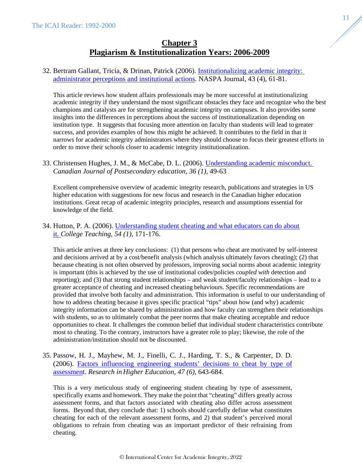# **Chapter 3 Plagiarism & Institutionalization Years: 2006-2009**

# <span id="page-11-0"></span>32. Bertram Gallant, Tricia, & Drinan, Patrick (2006). [Institutionalizing academic integrity:](https://doi.org/10.2202/1949-6605.1723)  [administrator perceptions and institutional actions.](https://doi.org/10.2202/1949-6605.1723) NASPA Journal, 43 (4), 61-81.

This article reviews how student affairs professionals may be more successful at institutionalizing academic integrity if they understand the most significant obstacles they face and recognize who the best champions and catalysts are for strengthening academic integrity on campuses. It also provides some insights into the differences in perceptions about the success of institutionalization depending on institution type. It suggests that focusing more attention on faculty than students will lead to greater success, and provides examples of how this might be achieved. It contributes to the field in that it narrows for academic integrity administrators where they should choose to focus their greatest efforts in order to move their schools closer to academic integrity institutionalization.

# 33. Christensen Hughes, J. M., & McCabe, D. L. (2006). [Understanding academic misconduct.](https://doi.org/10.47678/cjhe.v36i1.183525)  *Canadian Journal of Postsecondary education, 36 (1),* 49-63

Excellent comprehensive overview of academic integrity research, publications and strategies in US higher education with suggestions for new focus and research in the Canadian higher education institutions. Great recap of academic integrity principles, research and assumptions essential for knowledge of the field.

# 34. Hutton, P. A. (2006). [Understanding student cheating and what educators can do about](https://doi.org/10.3200/CTCH.54.1.171-176)  [it.](https://doi.org/10.3200/CTCH.54.1.171-176) *College Teaching, 54 (1),* 171-176.

This article arrives at three key conclusions: (1) that persons who cheat are motivated by self-interest and decisions arrived at by a cost/benefit analysis (which analysis ultimately favors cheating); (2) that because cheating is not often observed by professors, improving social norms about academic integrity is important (this is achieved by the use of institutional codes/policies *coupled with* detection and reporting); and (3) that strong student relationships – and weak student/faculty relationships – lead to a greater acceptance of cheating and increased cheating behaviours. Specific recommendations are provided that involve both faculty and administration. This information is useful to our understanding of how to address cheating because it gives specific practical "tips" about how (and why) academic integrity information can be shared by administration and how faculty can strengthen their relationships with students, so as to ultimately combat the peer norms that make cheating acceptable and reduce opportunities to cheat. It challenges the common belief that individual student characteristics contribute most to cheating. To the contrary, instructors have a greater role to play; likewise, the role of the administration/institution should not be discounted.

35. Passow, H. J., Mayhew, M. J., Finelli, C. J., Harding, T. S., & Carpenter, D. D. (2006). [Factors influencing engineering students' decisions to cheat by type of](https://doi.org/10.1007/s11162-006-9010-y)  [assessment](https://doi.org/10.1007/s11162-006-9010-y). *Research in Higher Education, 47 (6),* 643-684.

This is a very meticulous study of engineering student cheating by type of assessment, specifically exams and homework. They make the point that "cheating" differs greatly across assessment forms, and that factors associated with cheating also differ across assessment forms. Beyond that, they conclude that: 1) schools should carefully define what constitutes cheating for each of the relevant assessment forms, and 2) that student's perceived moral obligations to refrain from cheating was an important predictor of their refraining from cheating.

11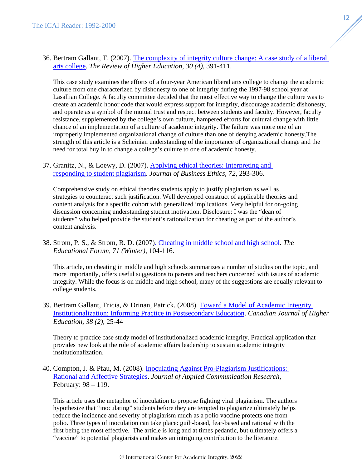36. Bertram Gallant, T. (2007). [The complexity of integrity culture change: A case study of a liberal](https://doi.org/10.1353/rhe.2007.0024)  [arts college.](https://doi.org/10.1353/rhe.2007.0024) *The Review of Higher Education, 30 (4)*, 391-411.

This case study examines the efforts of a four-year American liberal arts college to change the academic culture from one characterized by dishonesty to one of integrity during the 1997-98 school year at Lasallian College. A faculty committee decided that the most effective way to change the culture was to create an academic honor code that would express support for integrity, discourage academic dishonesty, and operate as a symbol of the mutual trust and respect between students and faculty. However, faculty resistance, supplemented by the college's own culture, hampered efforts for cultural change with little chance of an implementation of a culture of academic integrity. The failure was more one of an improperly implemented organizational change of culture than one of denying academic honesty.The strength of this article is a Scheinian understanding of the importance of organizational change and the need for total buy in to change a college's culture to one of academic honesty.

37. Granitz, N., & Loewy, D. (2007). Applying ethical theories: Interpreting and [responding to student plagiarism.](https://link.springer.com/article/10.1007/s10551-006-9171-9) *Journal of Business Ethics, 72*, 293-306.

Comprehensive study on ethical theories students apply to justify plagiarism as well as strategies to counteract such justification. Well developed construct of applicable theories and content analysis for a specific cohort with generalized implications. Very helpful for on-going discussion concerning understanding student motivation. Disclosure: I was the "dean of students" who helped provide the student's rationalization for cheating as part of the author's content analysis.

38. Strom, P. S., & Strom, R. D. (2007[\). Cheating in middle school and high school.](https://doi.org/10.1080/00131720708984924) *The Educational Forum, 71 (Winter),* 104-116.

This article, on cheating in middle and high schools summarizes a number of studies on the topic, and more importantly, offers useful suggestions to parents and teachers concerned with issues of academic integrity. While the focus is on middle and high school, many of the suggestions are equally relevant to college students.

39. Bertram Gallant, Tricia, & Drinan, Patrick. (2008). [Toward a Model of Academic Integrity](https://files.eric.ed.gov/fulltext/EJ815066.pdf)  [Institutionalization: Informing Practice in Postsecondary Education.](https://files.eric.ed.gov/fulltext/EJ815066.pdf) *Canadian Journal of Higher Education, 38 (2)*, 25-44

Theory to practice case study model of institutionalized academic integrity. Practical application that provides new look at the role of academic affairs leadership to sustain academic integrity institutionalization.

40. Compton, J. & Pfau, M. (2008). [Inoculating Against Pro-Plagiarism Justifications:](https://doi.org/10.1080/00909880701799329)  [Rational and Affective Strategies.](https://doi.org/10.1080/00909880701799329) *Journal of Applied Communication Research,*  February: 98 – 119.

This article uses the metaphor of inoculation to propose fighting viral plagiarism. The authors hypothesize that "inoculating" students before they are tempted to plagiarize ultimately helps reduce the incidence and severity of plagiarism much as a polio vaccine protects one from polio. Three types of inoculation can take place: guilt-based, fear-based and rational with the first being the most effective. The article is long and at times pedantic, but ultimately offers a "vaccine" to potential plagiarists and makes an intriguing contribution to the literature.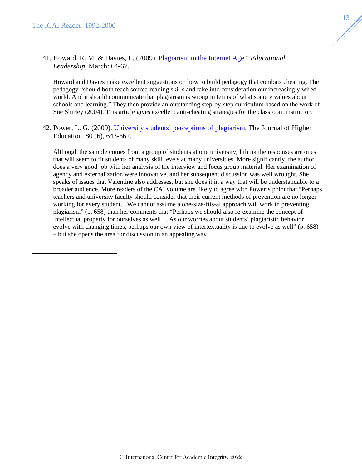41. Howard, R. M. & Davies, L. (2009). [Plagiarism in the Internet Age."](http://www.ascd.org/publications/educational-leadership/mar09/vol66/num06/Plagiarism-in-the-Internet-Age.aspx) *Educational Leadership,* March: 64-67.

Howard and Davies make excellent suggestions on how to build pedagogy that combats cheating. The pedagogy "should both teach source-reading skills and take into consideration our increasingly wired world. And it should communicate that plagiarism is wrong in terms of what society values about schools and learning." They then provide an outstanding step-by-step curriculum based on the work of Sue Shirley (2004). This article gives excellent anti-cheating strategies for the classroom instructor.

42. Power, L. G. (2009). [University students' perceptions of plagiarism.](https://doi.org/10.1080/00221546.2009.11779038) The Journal of Higher Education, 80 (6), 643-662.

Although the sample comes from a group of students at one university, I think the responses are ones that will seem to fit students of many skill levels at many universities. More significantly, the author does a very good job with her analysis of the interview and focus group material. Her examination of agency and externalization were innovative, and her subsequent discussion was well wrought. She speaks of issues that Valentine also addresses, but she does it in a way that will be understandable to a broader audience. More readers of the CAI volume are likely to agree with Power's point that "Perhaps teachers and university faculty should consider that their current methods of prevention are no longer working for every student…We cannot assume a one-size-fits-al approach will work in preventing plagiarism" (p. 658) than her comments that "Perhaps we should also re-examine the concept of intellectual property for ourselves as well… As our worries about students' plagiaristic behavior evolve with changing times, perhaps our own view of intertextuality is due to evolve as well" (p. 658) – but she opens the area for discussion in an appealing way.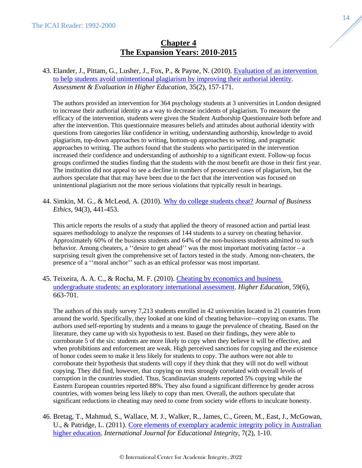# **Chapter 4 The Expansion Years: 2010-2015**

# <span id="page-14-0"></span>43. Elander, J., Pittam, G., Lusher, J., Fox, P., & Payne, N. (2010). [Evaluation of an intervention](https://doi.org/10.1080/02602930802687745)  [to help students avoid unintentional plagiarism by improving their authorial identity.](https://doi.org/10.1080/02602930802687745) *Assessment & Evaluation in Higher Education*, 35(2), 157-171.

The authors provided an intervention for 364 psychology students at 3 universities in London designed to increase their authorial identity as a way to decrease incidents of plagiarism. To measure the efficacy of the intervention, students were given the Student Authorship Questionnaire both before and after the intervention. This questionnaire measures beliefs and attitudes about authorial identity with questions from categories like confidence in writing, understanding authorship, knowledge to avoid plagiarism, top-down approaches to writing, bottom-up approaches to writing, and pragmatic approaches to writing. The authors found that the students who participated in the intervention increased their confidence and understanding of authorship to a significant extent. Follow-up focus groups confirmed the studies finding that the students with the most benefit are those in their first year. The institution did not appeal to see a decline in numbers of prosecuted cases of plagiarism, but the authors speculate that that may have been due to the fact that the intervention was focused on unintentional plagiarism not the more serious violations that typically result in hearings.

44. Simkin, M. G., & McLeod, A. (2010). Why do college students cheat? *Journal of Business Ethics,* 94(3), 441-453.

This article reports the results of a study that applied the theory of reasoned action and partial least squares methodology to analyze the responses of 144 students to a survey on cheating behavior. Approximately 60% of the business students and 64% of the non-business students admitted to such behavior. Among cheaters, a ''desire to get ahead'' was the most important motivating factor – a surprising result given the comprehensive set of factors tested in the study. Among non-cheaters, the presence of a ''moral anchor'' such as an ethical professor was most important.

45. Teixeira, A. A. C., & Rocha, M. F. (2010). [Cheating by economics and business](https://doi.org/10.1007/s10734-009-9274-1)  [undergraduate students: an exploratory international assessment.](https://doi.org/10.1007/s10734-009-9274-1) *Higher Education,* 59(6), 663-701.

The authors of this study survey 7,213 students enrolled in 42 universities located in 21 countries from around the world. Specifically, they looked at one kind of cheating behavior---copying on exams. The authors used self-reporting by students and a means to gauge the prevalence of cheating. Based on the literature, they came up with six hypothesis to test. Based on their findings, they were able to corroborate 5 of the six: students are more likely to copy when they believe it will be effective, and when prohibitions and enforcement are weak. High perceived sanctions for copying and the existence of honor codes seem to make it less likely for students to copy. The authors were not able to corroborate their hypothesis that students will copy if they think that they will not do well without copying. They did find, however, that copying on tests strongly correlated with overall levels of corruption in the countries studied. Thus, Scandinavian students reported 5% copying while the Eastern European countries reported 88%. They also found a significant difference by gender across countries, with women being less likely to copy than men. Overall, the authors speculate that significant reductions in cheating may need to come from society wide efforts to inculcate honesty.

46. Bretag, T., Mahmud, S., Wallace, M. J., Walker, R., James, C., Green, M., East, J., McGowan, U., & Patridge, L. (2011). Core elements of exemplary academic integrity policy in Australian [higher education.](https://doi.org/10.21913/IJEI.v7i2.759) *International Journal for Educational Integrity*, 7(2), 1-10[.](https://doi.org/10.21913/IJEI.v7i2.759)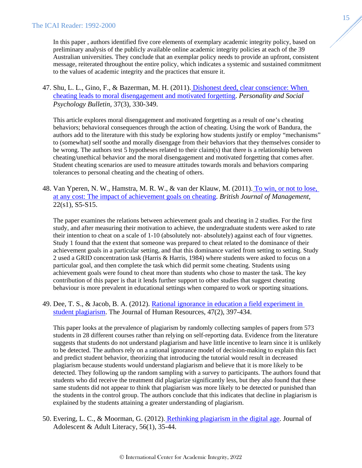In this paper , authors identified five core elements of exemplary academic integrity policy, based on preliminary analysis of the publicly available online academic integrity policies at each of the 39 Australian universities. They conclude that an exemplar policy needs to provide an upfront, consistent message, reiterated throughout the entire policy, which indicates a systemic and sustained commitment to the values of academic integrity and the practices that ensure it.

47. Shu, L. L., Gino, F., & Bazerman, M. H. (2011). [Dishonest deed, clear conscience: When](https://doi.org/10.1177/0146167211398138)  [cheating leads to moral disengagement and motivated forgetting.](https://doi.org/10.1177/0146167211398138) *Personality and Social Psychology Bulletin,* 37(3), 330-349.

This article explores moral disengagement and motivated forgetting as a result of one's cheating behaviors; behavioral consequences through the action of cheating. Using the work of Bandura, the authors add to the literature with this study be exploring how students justify or employ "mechanisms" to (somewhat) self soothe and morally disengage from their behaviors that they themselves consider to be wrong. The authors test 5 hypotheses related to their claim(s) that there is a relationship between cheating/unethical behavior and the moral disengagement and motivated forgetting that comes after. Student cheating scenarios are used to measure attitudes towards morals and behaviors comparing tolerances to personal cheating and the cheating of others.

48. Van Yperen, N. W., Hamstra, M. R. W., & van der Klauw, M. (2011). [To win, or not to lose,](https://doi.org/10.1111/j.1467-8551.2010.00702.x)  [at any cost: The impact of achievement goals on cheating.](https://doi.org/10.1111/j.1467-8551.2010.00702.x) *British Journal of Management,* 22(s1), S5-S15.

The paper examines the relations between achievement goals and cheating in 2 studies. For the first study, and after measuring their motivation to achieve, the undergraduate students were asked to rate their intention to cheat on a scale of 1-10 (absolutely not- absolutely) against each of four vignettes. Study 1 found that the extent that someone was prepared to cheat related to the dominance of their achievement goals in a particular setting, and that this dominance varied from setting to setting. Study 2 used a GRID concentration task (Harris & Harris, 1984) where students were asked to focus on a particular goal, and then complete the task which did permit some cheating. Students using achievement goals were found to cheat more than students who chose to master the task. The key contribution of this paper is that it lends further support to other studies that suggest cheating behaviour is more prevalent in educational settings when compared to work or sporting situations.

49. Dee, T. S., & Jacob, B. A. (2012). [Rational ignorance in education a field experiment in](https://doi.org/10.3368/jhr.47.2.397)  [student plagiarism.](https://doi.org/10.3368/jhr.47.2.397) The Journal of Human Resources, 47(2), 397-434.

This paper looks at the prevalence of plagiarism by randomly collecting samples of papers from 573 students in 28 different courses rather than relying on self-reporting data. Evidence from the literature suggests that students do not understand plagiarism and have little incentive to learn since it is unlikely to be detected. The authors rely on a rational ignorance model of decision-making to explain this fact and predict student behavior, theorizing that introducing the tutorial would result in decreased plagiarism because students would understand plagiarism and believe that it is more likely to be detected. They following up the random sampling with a survey to participants. The authors found that students who did receive the treatment did plagiarize significantly less, but they also found that these same students did not appear to think that plagiarism was more likely to be detected or punished than the students in the control group. The authors conclude that this indicates that decline in plagiarism is explained by the students attaining a greater understanding of plagiarism.

50. Evering, L. C., & Moorman, G. (2012). [Rethinking plagiarism in the digital age.](https://doi.org/10.1002/JAAL.00100) Journal of Adolescent & Adult Literacy, 56(1), 35-44.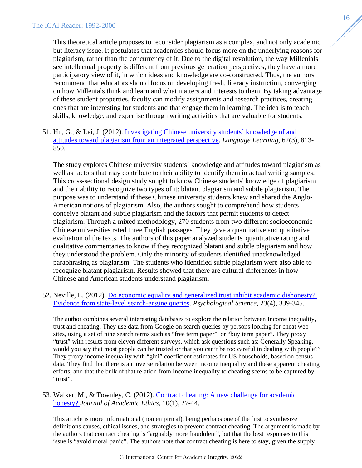This theoretical article proposes to reconsider plagiarism as a complex, and not only academic but literacy issue. It postulates that academics should focus more on the underlying reasons for plagiarism, rather than the concurrency of it. Due to the digital revolution, the way Millenials see intellectual property is different from previous generation perspectives; they have a more participatory view of it, in which ideas and knowledge are co-constructed. Thus, the authors recommend that educators should focus on developing fresh, literacy instruction, converging on how Millenials think and learn and what matters and interests to them. By taking advantage of these student properties, faculty can modify assignments and research practices, creating ones that are interesting for students and that engage them in learning. The idea is to teach skills, knowledge, and expertise through writing activities that are valuable for students.

51. Hu, G., & Lei, J. (2012). [Investigating Chinese university students' knowledge of and](https://doi.org/10.1111/j.1467-9922.2011.00650.x)  [attitudes toward plagiarism from an integrated perspective.](https://doi.org/10.1111/j.1467-9922.2011.00650.x) *Language Learning*, 62(3), 813- 850.

The study explores Chinese university students' knowledge and attitudes toward plagiarism as well as factors that may contribute to their ability to identify them in actual writing samples. This cross-sectional design study sought to know Chinese students' knowledge of plagiarism and their ability to recognize two types of it: blatant plagiarism and subtle plagiarism. The purpose was to understand if these Chinese university students knew and shared the Anglo-American notions of plagiarism. Also, the authors sought to comprehend how students conceive blatant and subtle plagiarism and the factors that permit students to detect plagiarism. Through a mixed methodology, 270 students from two different socioeconomic Chinese universities rated three English passages. They gave a quantitative and qualitative evaluation of the texts. The authors of this paper analyzed students' quantitative rating and qualitative commentaries to know if they recognized blatant and subtle plagiarism and how they understood the problem. Only the minority of students identified unacknowledged paraphrasing as plagiarism. The students who identified subtle plagiarism were also able to recognize blatant plagiarism. Results showed that there are cultural differences in how Chinese and American students understand plagiarism.

52. Neville, L. (2012). [Do economic equality and generalized trust inhibit academic dishonesty?](https://doi.org/10.1177/0956797611435980)  [Evidence from state-level search-engine queries.](https://doi.org/10.1177/0956797611435980) *Psychological Science*, 23(4), 339-345.

The author combines several interesting databases to explore the relation between Income inequality, trust and cheating. They use data from Google on search queries by persons looking for cheat web sites, using a set of nine search terms such as "free term paper", or "buy term paper". They proxy "trust" with results from eleven different surveys, which ask questions such as: Generally Speaking, would you say that most people can be trusted or that you can't be too careful in dealing with people?" They proxy income inequality with "gini" coefficient estimates for US households, based on census data. They find that there is an inverse relation between income inequality and these apparent cheating efforts, and that the bulk of that relation from Income inequality to cheating seems to be captured by "trust".

53. Walker, M., & Townley, C. (2012). [Contract cheating: A new challenge for academic](https://doi.org/10.1007/s10805-012-9150-y)  [honesty?](https://doi.org/10.1007/s10805-012-9150-y) *Journal of Academic Ethics*, 10(1), 27-44.

This article is more informational (non empirical), being perhaps one of the first to synthesize definitions causes, ethical issues, and strategies to prevent contract cheating. The argument is made by the authors that contract cheating is "arguably more fraudulent", but that the best responses to this issue is "avoid moral panic". The authors note that contract cheating is here to stay, given the supply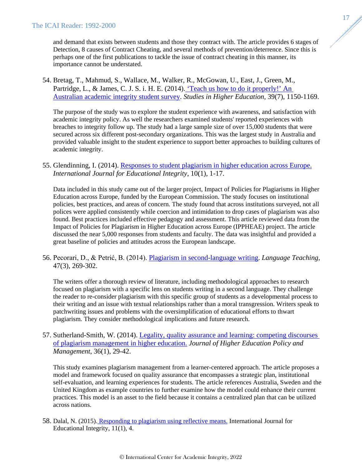and demand that exists between students and those they contract with. The article provides 6 stages of Detection, 8 causes of Contract Cheating, and several methods of prevention/deterrence. Since this is perhaps one of the first publications to tackle the issue of contract cheating in this manner, its importance cannot be understated.

54. Bretag, T., Mahmud, S., Wallace, M., Walker, R., McGowan, U., East, J., Green, M., Partridge, L., & James, C. J. S. i. H. E. (2014). ['Teach us how to do it properly!' An](https://doi.org/10.1080/03075079.2013.777406)  [Australian academic integrity student survey.](https://doi.org/10.1080/03075079.2013.777406) *Studies in Higher Education,* 39(7), 1150-1169.

The purpose of the study was to explore the student experience with awareness, and satisfaction with academic integrity policy. As well the researchers examined students' reported experiences with breaches to integrity follow up. The study had a large sample size of over 15,000 students that were secured across six different post-secondary organizations. This was the largest study in Australia and provided valuable insight to the student experience to support better approaches to building cultures of academic integrity.

# 55. Glendinning, I. (2014). [Responses to student plagiarism in higher education across Europe.](https://doi.org/10.21913/IJEI.v10i1.930) *International Journal for Educational Integrity*, 10(1), 1-17.

Data included in this study came out of the larger project, Impact of Policies for Plagiarisms in Higher Education across Europe, funded by the European Commission. The study focuses on institutional policies, best practices, and areas of concern. The study found that across institutions surveyed, not all polices were applied consistently while coercion and intimidation to drop cases of plagiarism was also found. Best practices included effective pedagogy and assessment. This article reviewed data from the Impact of Policies for Plagiarism in Higher Education across Europe (IPPHEAE) project. The article discussed the near 5,000 responses from students and faculty. The data was insightful and provided a great baseline of policies and attitudes across the European landscape.

56. Pecorari, D., & Petrić, B. (2014). [Plagiarism in second-language writing.](https://doi.org/10.1017/S0261444814000056) *Language Teaching,* 47(3), 269-302.

The writers offer a thorough review of literature, including methodological approaches to research focused on plagiarism with a specific lens on students writing in a second language. They challenge the reader to re-consider plagiarism with this specific group of students as a developmental process to their writing and an issue with textual relationships rather than a moral transgression. Writers speak to patchwriting issues and problems with the oversimplification of educational efforts to thwart plagiarism. They consider methodological implications and future research.

# 57. Sutherland-Smith, W. (2014). [Legality, quality assurance and learning: competing discourses](https://doi.org/10.1080/1360080X.2013.844666)  [of plagiarism management in higher education.](https://doi.org/10.1080/1360080X.2013.844666) *Journal of Higher Education Policy and Management*, 36(1), 29-42.

This study examines plagiarism management from a learner-centered approach. The article proposes a model and framework focused on quality assurance that encompasses a strategic plan, institutional self-evaluation, and learning experiences for students. The article references Australia, Sweden and the United Kingdom as example countries to further examine how the model could enhance their current practices. This model is an asset to the field because it contains a centralized plan that can be utilized across nations.

58. Dalal, N. (2015). [Responding to plagiarism using reflective means.](https://doi.org/10.1007/s40979-015-0002-6) International Journal for Educational Integrity, 11(1), 4.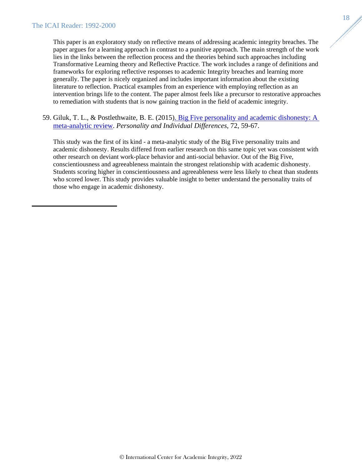This paper is an exploratory study on reflective means of addressing academic integrity breaches. The paper argues for a learning approach in contrast to a punitive approach. The main strength of the work lies in the links between the reflection process and the theories behind such approaches including Transformative Learning theory and Reflective Practice. The work includes a range of definitions and frameworks for exploring reflective responses to academic Integrity breaches and learning more generally. The paper is nicely organized and includes important information about the existing literature to reflection. Practical examples from an experience with employing reflection as an intervention brings life to the content. The paper almost feels like a precursor to restorative approaches to remediation with students that is now gaining traction in the field of academic integrity.

59. Giluk, T. L., & Postlethwaite, B. E. (2015[\). Big Five personality and academic dishonesty: A](https://doi.org/https:/doi.org/10.1016/j.paid.2014.08.027)  [meta-analytic review.](https://doi.org/https:/doi.org/10.1016/j.paid.2014.08.027) *Personality and Individual Differences*, 72, 59-67[.](https://doi.org/https:/doi.org/10.1016/j.paid.2014.08.027)

This study was the first of its kind - a meta-analytic study of the Big Five personality traits and academic dishonesty. Results differed from earlier research on this same topic yet was consistent with other research on deviant work-place behavior and anti-social behavior. Out of the Big Five, conscientiousness and agreeableness maintain the strongest relationship with academic dishonesty. Students scoring higher in conscientiousness and agreeableness were less likely to cheat than students who scored lower. This study provides valuable insight to better understand the personality traits of those who engage in academic dishonesty.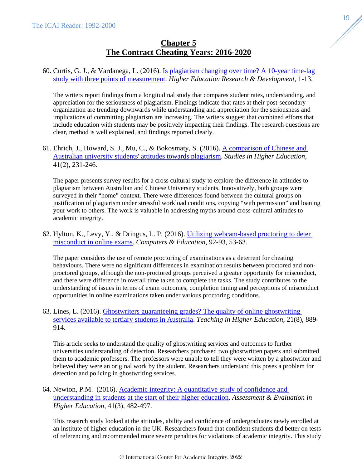# **Chapter 5 The Contract Cheating Years: 2016-2020**

# <span id="page-19-0"></span>60. Curtis, G. J., & Vardanega, L. (2016). [Is plagiarism changing over time? A 10-year time-lag](https://doi.org/10.1080/07294360.2016.1161602)  [study with three points of measurement.](https://doi.org/10.1080/07294360.2016.1161602) *Higher Education Research & Development,* 1-13[.](https://doi.org/10.1080/07294360.2016.1161602)

The writers report findings from a longitudinal study that compares student rates, understanding, and appreciation for the seriousness of plagiarism. Findings indicate that rates at their post-secondary organization are trending downwards while understanding and appreciation for the seriousness and implications of committing plagiarism are increasing. The writers suggest that combined efforts that include education with students may be positively impacting their findings. The research questions are clear, method is well explained, and findings reported clearly.

61. Ehrich, J., Howard, S. J., Mu, C., & Bokosmaty, S. (2016). [A comparison of Chinese and](https://doi.org/10.1080/03075079.2014.927850)  [Australian university students' attitudes towards plagiarism.](https://doi.org/10.1080/03075079.2014.927850) *Studies in Higher Education,* 41(2), 231-246[.](https://doi.org/10.1080/03075079.2014.927850)

The paper presents survey results for a cross cultural study to explore the difference in attitudes to plagiarism between Australian and Chinese University students. Innovatively, both groups were surveyed in their "home" context. There were differences found between the cultural groups on justification of plagiarism under stressful workload conditions, copying "with permission" and loaning your work to others. The work is valuable in addressing myths around cross-cultural attitudes to academic integrity.

62. Hylton, K., Levy, Y., & Dringus, L. P. (2016). [Utilizing webcam-based proctoring to deter](https://doi.org/https:/doi.org/10.1016/j.compedu.2015.10.002)  [misconduct in online exams.](https://doi.org/https:/doi.org/10.1016/j.compedu.2015.10.002) *Computers & Education*, 92-93, 53-63[.](https://doi.org/https:/doi.org/10.1016/j.compedu.2015.10.002)

The paper considers the use of remote proctoring of examinations as a deterrent for cheating behaviours. There were no significant differences in examination results between proctored and nonproctored groups, although the non-proctored groups perceived a greater opportunity for misconduct, and there were difference in overall time taken to complete the tasks. The study contributes to the understanding of issues in terms of exam outcomes, completion timing and perceptions of misconduct opportunities in online examinations taken under various proctoring conditions.

63. Lines, L. (2016). [Ghostwriters guaranteeing grades? The quality of online ghostwriting](https://doi.org/10.1080/13562517.2016.1198759)  [services available to tertiary students in Australia.](https://doi.org/10.1080/13562517.2016.1198759) *Teaching in Higher Education*, 21(8), 889- 914[.](https://doi.org/10.1080/13562517.2016.1198759)

This article seeks to understand the quality of ghostwriting services and outcomes to further universities understanding of detection. Researchers purchased two ghostwritten papers and submitted them to academic professors. The professors were unable to tell they were written by a ghostwriter and believed they were an original work by the student. Researchers understand this poses a problem for detection and policing in ghostwriting services.

64. Newton, P.M. (2016). [Academic integrity: A quantitative study of confidence and](https://doi.org/10.1080/02602938.2015.1024199)  [understanding in students at the start of their higher education.](https://doi.org/10.1080/02602938.2015.1024199) *Assessment & Evaluation in Higher Education,* 41(3), 482-497.

This research study looked at the attitudes, ability and confidence of undergraduates newly enrolled at an institute of higher education in the UK. Researchers found that confident students did better on tests of referencing and recommended more severe penalties for violations of academic integrity. This study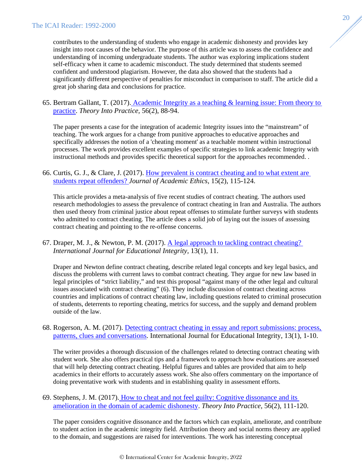contributes to the understanding of students who engage in academic dishonesty and provides key insight into root causes of the behavior. The purpose of this article was to assess the confidence and understanding of incoming undergraduate students. The author was exploring implications student self-efficacy when it came to academic misconduct. The study determined that students seemed confident and understood plagiarism. However, the data also showed that the students had a significantly different perspective of penalties for misconduct in comparison to staff. The article did a great job sharing data and conclusions for practice.

65. Bertram Gallant, T. (2017). [Academic Integrity as a teaching & learning issue: From theory to](https://doi.org/10.1080/00405841.2017.1308173)  [practice.](https://doi.org/10.1080/00405841.2017.1308173) *Theory Into Practice,* 56(2), 88-94[.](https://doi.org/10.1080/00405841.2017.1308173)

The paper presents a case for the integration of academic Integrity issues into the "mainstream" of teaching. The work argues for a change from punitive approaches to educative approaches and specifically addresses the notion of a 'cheating moment' as a teachable moment within instructional processes. The work provides excellent examples of specific strategies to link academic Integrity with instructional methods and provides specific theoretical support for the approaches recommended. .

66. Curtis, G. J., & Clare, J. (2017). [How prevalent is contract cheating and to what extent are](https://doi.org/10.1007/s10805-017-9278-x)  [students repeat offenders?](https://doi.org/10.1007/s10805-017-9278-x) *Journal of Academic Ethics*, 15(2), 115-124.

This article provides a meta-analysis of five recent studies of contract cheating. The authors used research methodologies to assess the prevalence of contract cheating in Iran and Australia. The authors then used theory from criminal justice about repeat offenses to stimulate further surveys with students who admitted to contract cheating. The article does a solid job of laying out the issues of assessing contract cheating and pointing to the re-offense concerns.

67. Draper, M. J., & Newton, P. M. (2017). [A legal approach to tackling contract cheating?](https://doi.org/10.1007/s40979-017-0022-5) *International Journal for Educational Integrity,* 13(1), 11.

Draper and Newton define contract cheating, describe related legal concepts and key legal basics, and discuss the problems with current laws to combat contract cheating. They argue for new law based in legal principles of "strict liability," and test this proposal "against many of the other legal and cultural issues associated with contract cheating" (6). They include discussion of contract cheating across countries and implications of contract cheating law, including questions related to criminal prosecution of students, deterrents to reporting cheating, metrics for success, and the supply and demand problem outside of the law.

68. Rogerson, A. M. (2017). [Detecting contract cheating in essay and report submissions: process,](https://doi.org/10.1007/s40979-017-0021-6)  [patterns, clues and conversations.](https://doi.org/10.1007/s40979-017-0021-6) International Journal for Educational Integrity, 13(1), 1-10.

The writer provides a thorough discussion of the challenges related to detecting contract cheating with student work. She also offers practical tips and a framework to approach how evaluations are assessed that will help detecting contract cheating. Helpful figures and tables are provided that aim to help academics in their efforts to accurately assess work. She also offers commentary on the importance of doing preventative work with students and in establishing quality in assessment efforts.

69. Stephens, J. M. (2017). [How to cheat and not feel guilty: Cognitive dissonance and its](https://doi.org/10.1080/00405841.2017.1283571)  [amelioration in the domain of academic dishonesty.](https://doi.org/10.1080/00405841.2017.1283571) *Theory Into Practice*, 56(2), 111-120.

The paper considers cognitive dissonance and the factors which can explain, ameliorate, and contribute to student action in the academic integrity field. Attribution theory and social norms theory are applied to the domain, and suggestions are raised for interventions. The work has interesting conceptual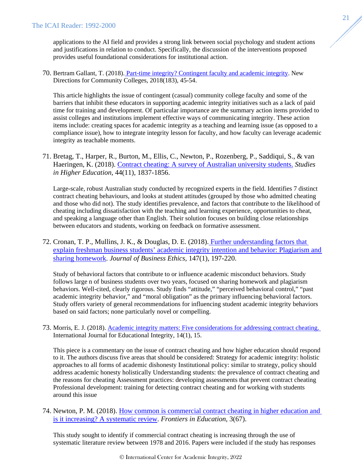applications to the AI field and provides a strong link between social psychology and student actions and justifications in relation to conduct. Specifically, the discussion of the interventions proposed provides useful foundational considerations for institutional action.

70. Bertram Gallant, T. (2018). [Part-time integrity? Contingent faculty and academic integrity.](https://doi.org/https:/doi.org/10.1002/cc.20316) New Directions for Community Colleges, 2018(183), 45-54.

This article highlights the issue of contingent (casual) community college faculty and some of the barriers that inhibit these educators in supporting academic integrity initiatives such as a lack of paid time for training and development. Of particular importance are the summary action items provided to assist colleges and institutions implement effective ways of communicating integrity. These action items include: creating spaces for academic integrity as a teaching and learning issue (as opposed to a compliance issue), how to integrate integrity lesson for faculty, and how faculty can leverage academic integrity as teachable moments.

71. Bretag, T., Harper, R., Burton, M., Ellis, C., Newton, P., Rozenberg, P., Saddiqui, S., & van Haeringen, K. (2018). [Contract cheating: A survey of Australian university students.](https://doi.org/10.1080/03075079.2018.1462788) *Studies in Higher Education,* 44(11), 1837-1856.

Large-scale, robust Australian study conducted by recognized experts in the field. Identifies 7 distinct contract cheating behaviours, and looks at student attitudes (grouped by those who admitted cheating and those who did not). The study identifies prevalence, and factors that contribute to the likelihood of cheating including dissatisfaction with the teaching and learning experience, opportunities to cheat, and speaking a language other than English. Their solution focuses on building close relationships between educators and students, working on feedback on formative assessment.

72. Cronan, T. P., Mullins, J. K., & Douglas, D. E. (2018). [Further understanding factors that](https://doi.org/10.1007/s10551-015-2988-3)  [explain freshman business students' academic integrity intention and behavior: Plagiarism and](https://doi.org/10.1007/s10551-015-2988-3)  [sharing homework.](https://doi.org/10.1007/s10551-015-2988-3) *Journal of Business Ethics,* 147(1), 197-220[.](https://doi.org/10.1007/s10551-015-2988-3)

Study of behavioral factors that contribute to or influence academic misconduct behaviors. Study follows large n of business students over two years, focused on sharing homework and plagiarism behaviors. Well-cited, clearly rigorous. Study finds "attitude," "perceived behavioral control," "past academic integrity behavior," and "moral obligation" as the primary influencing behavioral factors. Study offers variety of general recommendations for influencing student academic integrity behaviors based on said factors; none particularly novel or compelling.

73. Morris, E. J. (2018). [Academic integrity matters: Five considerations for addressing contract cheating.](https://doi.org/10.1007/s40979-018-0038-5)  International Journal for Educational Integrity, 14(1), 15.

This piece is a commentary on the issue of contract cheating and how higher education should respond to it. The authors discuss five areas that should be considered: Strategy for academic integrity: holistic approaches to all forms of academic dishonesty Institutional policy: similar to strategy, policy should address academic honesty holistically Understanding students: the prevalence of contract cheating and the reasons for cheating Assessment practices: developing assessments that prevent contract cheating Professional development: training for detecting contract cheating and for working with students around this issue

74. Newton, P. M. (2018). [How common is commercial contract cheating in higher education and](https://doi.org/10.3389/feduc.2018.00067)  [is it increasing? A systematic review.](https://doi.org/10.3389/feduc.2018.00067) *Frontiers in Education*, 3(67).

This study sought to identify if commercial contract cheating is increasing through the use of systematic literature review between 1978 and 2016. Papers were included if the study has responses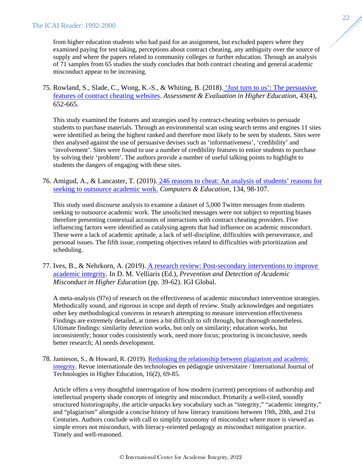from higher education students who had paid for an assignment, but excluded papers where they examined paying for test taking, perceptions about contract cheating, any ambiguity over the source of supply and where the papers related to community colleges or further education. Through an analysis of 71 samples from 65 studies the study concludes that both contract cheating and general academic misconduct appear to be increasing.

75. Rowland, S., Slade, C., Wong, K.-S., & Whiting, B. (2018). ['Just turn to us': The persuasive](https://doi.org/10.1080/02602938.2017.1391948)  [features of contract cheating websites.](https://doi.org/10.1080/02602938.2017.1391948) *Assessment & Evaluation in Higher Education*, 43(4), 652-665.

This study examined the features and strategies used by contract-cheating websites to persuade students to purchase materials. Through an environmental scan using search terms and engines 11 sites were identified as being the highest ranked and therefore most likely to be seen by students. Sites were then analysed against the use of persuasive devises such as 'informativeness', 'credibility' and 'involvement'. Sites were found to use a number of credibility features to entice students to purchase by solving their 'problem'. The authors provide a number of useful talking points to highlight to students the dangers of engaging with these sites.

76. Amigud, A., & Lancaster, T. (2019). [246 reasons to cheat: An analysis of students' reasons for](https://doi.org/:10.1016/j.compedu.2019.01.017)  [seeking to outsource academic work.](https://doi.org/:10.1016/j.compedu.2019.01.017) *Computers & Education,* 134, 98-107[.](https://doi.org/:10.1016/j.compedu.2019.01.017)

This study used discourse analysis to examine a dataset of 5,000 Twitter messages from students seeking to outsource academic work. The unsolicited messages were not subject to reporting biases therefore presenting contextual accounts of interactions with contract cheating providers. Five influencing factors were identified as catalysing agents that had influence on academic misconduct. These were a lack of academic aptitude, a lack of self-discipline, difficulties with perseverance, and personal issues. The fifth issue, competing objectives related to difficulties with prioritization and scheduling.

77. Ives, B., & Nehrkorn, A. (2019). [A research review: Post-secondary interventions to improve](https://doi.org/10.4018/978-1-5225-7531-3.ch002)  [academic integrity.](https://doi.org/10.4018/978-1-5225-7531-3.ch002) In D. M. Velliaris (Ed.), *Prevention and Detection of Academic Misconduct in Higher Education* (pp. 39-62). IGI Global.

A meta-analysis (97n) of research on the effectiveness of academic misconduct intervention strategies. Methodically sound, and rigorous in scope and depth of review. Study acknowledges and negotiates other key methodological concerns in research attempting to measure intervention effectiveness Findings are extremely detailed, at times a bit difficult to sift through, but thorough nonetheless. Ultimate findings: similarity detection works, but only on similarity; education works, but inconsistently; honor codes consistently work, need more focus; proctoring is inconclusive, needs better research; AI needs development.

78. Jamieson, S., & Howard, R. (2019). [Rethinking the relationship between plagiarism and academic](https://id.erudit.org/iderudit/1067061ar)  [integrity.](https://id.erudit.org/iderudit/1067061ar) Revue internationale des technologies en pédagogie universitaire / International Journal of Technologies in Higher Education, 16(2), 69-85.

Article offers a very thoughtful interrogation of how modern (current) perceptions of authorship and intellectual property shade concepts of integrity and misconduct. Primarily a well-cited, soundly structured historiography, the article unpacks key vocabulary such as "integrity," "academic integrity," and "plagiarism" alongside a concise history of how literacy transitions between 19th, 20th, and 21st Centuries. Authors conclude with call to simplify taxonomy of misconduct where more is viewed as simple errors not misconduct, with literacy-oriented pedagogy as misconduct mitigation practice. Timely and well-reasoned.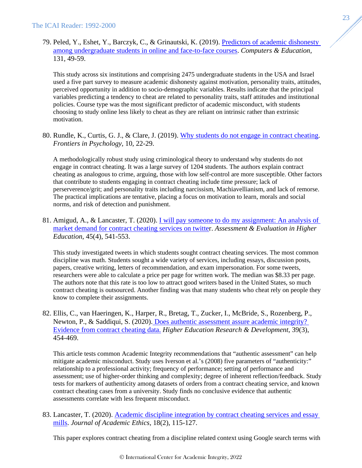79. Peled, Y., Eshet, Y., Barczyk, C., & Grinautski, K. (2019). [Predictors of academic dishonesty](https://doi.org/https:/doi.org/10.1016/j.compedu.2018.05.012)  [among undergraduate students in online and face-to-face courses.](https://doi.org/https:/doi.org/10.1016/j.compedu.2018.05.012) *Computers & Education,*  131, 49-59.

This study across six institutions and comprising 2475 undergraduate students in the USA and Israel used a five part survey to measure academic dishonesty against motivation, personality traits, attitudes, perceived opportunity in addition to socio-demographic variables. Results indicate that the principal variables predicting a tendency to cheat are related to personality traits, staff attitudes and institutional policies. Course type was the most significant predictor of academic misconduct, with students choosing to study online less likely to cheat as they are reliant on intrinsic rather than extrinsic motivation.

80. Rundle, K., Curtis, G. J., & Clare, J. (2019). [Why students do not engage in contract cheating.](https://doi.org/10.3389/fpsyg.2019.02229) *Frontiers in Psychology,* 10, 22-29.

A methodologically robust study using criminological theory to understand why students do not engage in contract cheating. It was a large survey of 1204 students. The authors explain contract cheating as analogous to crime, arguing, those with low self-control are more susceptible. Other factors that contribute to students engaging in contract cheating include time pressure; lack of perserverence/grit; and personality traits including narcissism, Machiavellianism, and lack of remorse. The practical implications are tentative, placing a focus on motivation to learn, morals and social norms, and risk of detection and punishment.

81. Amigud, A., & Lancaster, T. (2020). [I will pay someone to do my assignment: An analysis of](https://doi.org/10.1080/02602938.2019.1670780)  [market demand for contract cheating services on twitter](https://doi.org/10.1080/02602938.2019.1670780). *Assessment & Evaluation in Higher Education*, 45(4), 541-553[.](https://doi.org/10.1080/02602938.2019.1670780)

This study investigated tweets in which students sought contract cheating services. The most common discipline was math. Students sought a wide variety of services, including essays, discussion posts, papers, creative writing, letters of recommendation, and exam impersonation. For some tweets, researchers were able to calculate a price per page for written work. The median was \$8.33 per page. The authors note that this rate is too low to attract good writers based in the United States, so much contract cheating is outsourced. Another finding was that many students who cheat rely on people they know to complete their assignments.

82. Ellis, C., van Haeringen, K., Harper, R., Bretag, T., Zucker, I., McBride, S., Rozenberg, P., Newton, P., & Saddiqui, S. (2020). Does authentic assessment assure academic integrity? [Evidence from contract cheating data.](https://doi.org/10.1080/07294360.2019.1680956) *Higher Education Research & Development*, 39(3), 454-469.

This article tests common Academic Integrity recommendations that "authentic assessment" can help mitigate academic misconduct. Study uses Iverson et al.'s (2008) five parameters of "authenticity:" relationship to a professional activity; frequency of performance; setting of performance and assessment; use of higher-order thinking and complexity; degree of inherent reflection/feedback. Study tests for markers of authenticity among datasets of orders from a contract cheating service, and known contract cheating cases from a university. Study finds no conclusive evidence that authentic assessments correlate with less frequent misconduct.

83. Lancaster, T. (2020). [Academic discipline integration by contract cheating services and essay](https://doi.org/10.1007/s10805-019-09357-x)  [mills.](https://doi.org/10.1007/s10805-019-09357-x) *Journal of Academic Ethics,* 18(2), 115-127.

This paper explores contract cheating from a discipline related context using Google search terms with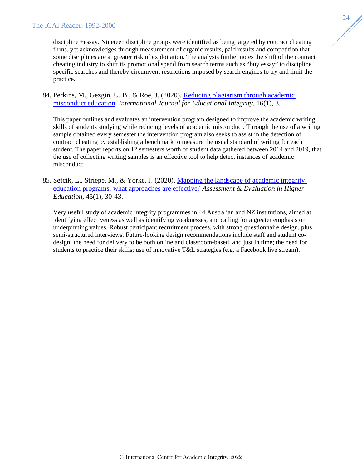discipline +essay. Nineteen discipline groups were identified as being targeted by contract cheating firms, yet acknowledges through measurement of organic results, paid results and competition that some disciplines are at greater risk of exploitation. The analysis further notes the shift of the contract cheating industry to shift its promotional spend from search terms such as "buy essay" to discipline specific searches and thereby circumvent restrictions imposed by search engines to try and limit the practice.

84. Perkins, M., Gezgin, U. B., & Roe, J. (2020). [Reducing plagiarism through academic](https://doi.org/10.1007/s40979-020-00052-8)  [misconduct education.](https://doi.org/10.1007/s40979-020-00052-8) *International Journal for Educational Integrity,* 16(1), 3.

This paper outlines and evaluates an intervention program designed to improve the academic writing skills of students studying while reducing levels of academic misconduct. Through the use of a writing sample obtained every semester the intervention program also seeks to assist in the detection of contract cheating by establishing a benchmark to measure the usual standard of writing for each student. The paper reports on 12 semesters worth of student data gathered between 2014 and 2019, that the use of collecting writing samples is an effective tool to help detect instances of academic misconduct.

85. Sefcik, L., Striepe, M., & Yorke, J. (2020). [Mapping the landscape of academic integrity](https://doi.org/10.1080/02602938.2019.1604942)  [education programs: what approaches are effective?](https://doi.org/10.1080/02602938.2019.1604942) *Assessment & Evaluation in Higher Education,* 45(1), 30-43.

Very useful study of academic integrity programmes in 44 Australian and NZ institutions, aimed at identifying effectiveness as well as identifying weaknesses, and calling for a greater emphasis on underpinning values. Robust participant recruitment process, with strong questionnaire design, plus semi-structured interviews. Future-looking design recommendations include staff and student codesign; the need for delivery to be both online and classroom-based, and just in time; the need for students to practice their skills; use of innovative T&L strategies (e.g. a Facebook live stream).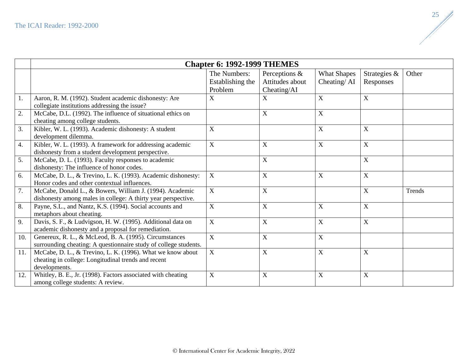<span id="page-25-0"></span>

|     | <b>Chapter 6: 1992-1999 THEMES</b>                                                                                                 |                                             |                                                 |                                   |                           |        |
|-----|------------------------------------------------------------------------------------------------------------------------------------|---------------------------------------------|-------------------------------------------------|-----------------------------------|---------------------------|--------|
|     |                                                                                                                                    | The Numbers:<br>Establishing the<br>Problem | Perceptions &<br>Attitudes about<br>Cheating/AI | <b>What Shapes</b><br>Cheating/AI | Strategies &<br>Responses | Other  |
| 1.  | Aaron, R. M. (1992). Student academic dishonesty: Are<br>collegiate institutions addressing the issue?                             | $\mathbf X$                                 | $\mathbf X$                                     | $\mathbf X$                       | $\mathbf X$               |        |
| 2.  | McCabe, D.L. (1992). The influence of situational ethics on<br>cheating among college students.                                    |                                             | $\mathbf X$                                     | $\mathbf X$                       |                           |        |
| 3.  | Kibler, W. L. (1993). Academic dishonesty: A student<br>development dilemma.                                                       | $\mathbf X$                                 |                                                 | $\mathbf X$                       | $\mathbf X$               |        |
| 4.  | Kibler, W. L. (1993). A framework for addressing academic<br>dishonesty from a student development perspective.                    | $\mathbf X$                                 | $\mathbf X$                                     | $\mathbf X$                       | $\mathbf X$               |        |
| 5.  | McCabe, D. L. (1993). Faculty responses to academic<br>dishonesty: The influence of honor codes.                                   |                                             | $\boldsymbol{X}$                                |                                   | $\mathbf X$               |        |
| 6.  | McCabe, D. L., & Trevino, L. K. (1993). Academic dishonesty:<br>Honor codes and other contextual influences.                       | X                                           | $\boldsymbol{\mathrm{X}}$                       | $\mathbf X$                       | $\mathbf X$               |        |
| 7.  | McCabe, Donald L., & Bowers, William J. (1994). Academic<br>dishonesty among males in college: A thirty year perspective.          | $\mathbf X$                                 | $\mathbf X$                                     |                                   | $\mathbf X$               | Trends |
| 8.  | Payne, S.L., and Nantz, K.S. (1994). Social accounts and<br>metaphors about cheating.                                              | $\mathbf{X}$                                | $\mathbf X$                                     | $\mathbf X$                       | $\mathbf X$               |        |
| 9.  | Davis, S. F., & Ludvigson, H. W. (1995). Additional data on<br>academic dishonesty and a proposal for remediation.                 | X                                           | $\mathbf X$                                     | $\mathbf X$                       | $\mathbf X$               |        |
| 10. | Genereux, R. L., & McLeod, B. A. (1995). Circumstances<br>surrounding cheating: A questionnaire study of college students.         | X                                           | $\mathbf X$                                     | $\mathbf X$                       |                           |        |
| 11. | McCabe, D. L., & Trevino, L. K. (1996). What we know about<br>cheating in college: Longitudinal trends and recent<br>developments. | $\mathbf{X}$                                | $\mathbf X$                                     | $\mathbf X$                       | $\mathbf X$               |        |
| 12. | Whitley, B. E., Jr. (1998). Factors associated with cheating<br>among college students: A review.                                  | $\mathbf X$                                 | $\boldsymbol{X}$                                | $\mathbf X$                       | $\mathbf X$               |        |

 $\mathbb{Z}$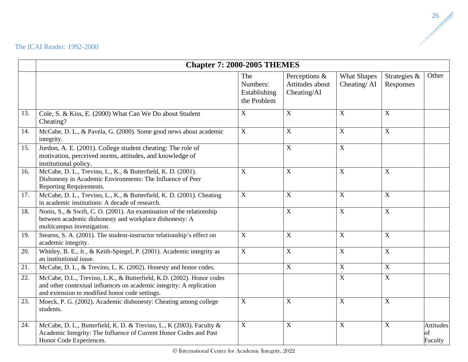<span id="page-26-0"></span>

|     | <b>Chapter 7: 2000-2005 THEMES</b>                                                                                                                                                             |                                                |                                                 |                                   |                           |                                   |
|-----|------------------------------------------------------------------------------------------------------------------------------------------------------------------------------------------------|------------------------------------------------|-------------------------------------------------|-----------------------------------|---------------------------|-----------------------------------|
|     |                                                                                                                                                                                                | The<br>Numbers:<br>Establishing<br>the Problem | Perceptions &<br>Attitudes about<br>Cheating/AI | <b>What Shapes</b><br>Cheating/AI | Strategies &<br>Responses | Other                             |
| 13. | Cole, S. & Kiss, E. (2000) What Can We Do about Student<br>Cheating?                                                                                                                           | X                                              | $\mathbf X$                                     | $\mathbf X$                       | $\mathbf X$               |                                   |
| 14. | McCabe, D. L., & Pavela, G. (2000). Some good news about academic<br>integrity.                                                                                                                | $\mathbf X$                                    | $\overline{X}$                                  | $\overline{X}$                    | $\overline{X}$            |                                   |
| 15. | Jordon, A. E. (2001). College student cheating: The role of<br>motivation, perceived norms, attitudes, and knowledge of<br>institutional policy.                                               |                                                | $\overline{X}$                                  | $\overline{X}$                    |                           |                                   |
| 16. | McCabe, D. L., Trevino, L., K., & Butterfield, K. D. (2001).<br>Dishonesty in Academic Environments: The Influence of Peer<br>Reporting Requirements.                                          | X                                              | $\mathbf X$                                     | $\mathbf X$                       | $\mathbf X$               |                                   |
| 17. | McCabe, D. L., Trevino, L., K., & Butterfield, K. D. (2001). Cheating<br>in academic institutions: A decade of research.                                                                       | $\mathbf X$                                    | $\boldsymbol{X}$                                | $\mathbf X$                       | $\overline{X}$            |                                   |
| 18. | Nonis, S., & Swift, C. O. (2001). An examination of the relationship<br>between academic dishonesty and workplace dishonesty: A<br>multicampus investigation.                                  |                                                | $\overline{X}$                                  | $\overline{X}$                    | $\overline{X}$            |                                   |
| 19. | Stearns, S. A. (2001). The student-instructor relationship's effect on<br>academic integrity.                                                                                                  | $\mathbf X$                                    | $\mathbf X$                                     | $\mathbf X$                       | $\overline{X}$            |                                   |
| 20. | Whitley, B. E., Jr., & Keith-Spiegel, P. (2001). Academic integrity as<br>an institutional issue.                                                                                              | $\mathbf X$                                    | $\mathbf X$                                     | $\mathbf X$                       | $\mathbf X$               |                                   |
| 21. | McCabe, D. L., & Trevino, L. K. (2002). Honesty and honor codes.                                                                                                                               |                                                | $\mathbf X$                                     | $\mathbf X$                       | $\overline{X}$            |                                   |
| 22. | McCabe, D.L., Trevino, L.K., & Butterfield, K.D. (2002). Honor codes<br>and other contextual influences on academic integrity: A replication<br>and extension to modified honor code settings. |                                                |                                                 | $\mathbf X$                       | $\overline{X}$            |                                   |
| 23. | Moeck, P. G. (2002). Academic dishonesty: Cheating among college<br>students.                                                                                                                  | X                                              | X                                               | $\mathbf X$                       | $\mathbf X$               |                                   |
| 24. | McCabe, D. L., Butterfield, K. D. & Trevino, L., K (2003). Faculty &<br>Academic Integrity: The Influence of Current Honor Codes and Past<br>Honor Code Experiences.                           | $\mathbf X$                                    | $\overline{X}$                                  | $\mathbf X$                       | $\overline{X}$            | <b>Attitudes</b><br>of<br>Faculty |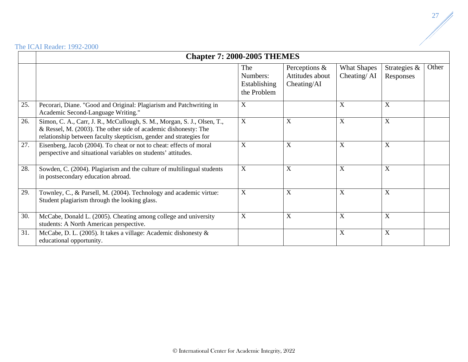|     | <b>Chapter 7: 2000-2005 THEMES</b>                                                                                                                                                                               |                                                |                                                 |                                      |                           |       |  |
|-----|------------------------------------------------------------------------------------------------------------------------------------------------------------------------------------------------------------------|------------------------------------------------|-------------------------------------------------|--------------------------------------|---------------------------|-------|--|
|     |                                                                                                                                                                                                                  | The<br>Numbers:<br>Establishing<br>the Problem | Perceptions &<br>Attitudes about<br>Checking/AI | <b>What Shapes</b><br>Cheating/ $AI$ | Strategies &<br>Responses | Other |  |
| 25. | Pecorari, Diane. "Good and Original: Plagiarism and Patchwriting in<br>Academic Second-Language Writing."                                                                                                        | X                                              |                                                 | X                                    | X                         |       |  |
| 26. | Simon, C. A., Carr, J. R., McCullough, S. M., Morgan, S. J., Olsen, T.,<br>& Ressel, M. (2003). The other side of academic dishonesty: The<br>relationship between faculty skepticism, gender and strategies for | $\boldsymbol{X}$                               | X                                               | X                                    | $\boldsymbol{X}$          |       |  |
| 27. | Eisenberg, Jacob (2004). To cheat or not to cheat: effects of moral<br>perspective and situational variables on students' attitudes.                                                                             | X                                              | $\mathbf X$                                     | X                                    | X                         |       |  |
| 28. | Sowden, C. (2004). Plagiarism and the culture of multilingual students<br>in postsecondary education abroad.                                                                                                     | X                                              | X                                               | X                                    | X                         |       |  |
| 29. | Townley, C., & Parsell, M. (2004). Technology and academic virtue:<br>Student plagiarism through the looking glass.                                                                                              | X                                              | X                                               | $\boldsymbol{\mathrm{X}}$            | X                         |       |  |
| 30. | McCabe, Donald L. (2005). Cheating among college and university<br>students: A North American perspective.                                                                                                       | X                                              | X                                               | $\boldsymbol{\mathrm{X}}$            | X                         |       |  |
| 31. | McCabe, D. L. (2005). It takes a village: Academic dishonesty &<br>educational opportunity.                                                                                                                      |                                                |                                                 | X                                    | X                         |       |  |

 $\mathbb{Z}$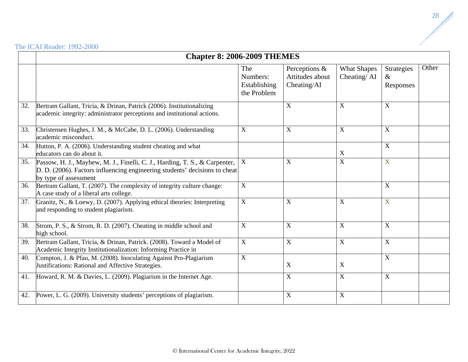<span id="page-28-0"></span>

|     |                                                                                                                                                                                   | <b>Chapter 8: 2006-2009 THEMES</b>             |                                                 |                                   |                                        |       |  |  |
|-----|-----------------------------------------------------------------------------------------------------------------------------------------------------------------------------------|------------------------------------------------|-------------------------------------------------|-----------------------------------|----------------------------------------|-------|--|--|
|     |                                                                                                                                                                                   | The<br>Numbers:<br>Establishing<br>the Problem | Perceptions &<br>Attitudes about<br>Cheating/AI | <b>What Shapes</b><br>Cheating/AI | <b>Strategies</b><br>$\&$<br>Responses | Other |  |  |
| 32. | Bertram Gallant, Tricia, & Drinan, Patrick (2006). Institutionalizing<br>academic integrity: administrator perceptions and institutional actions.                                 |                                                | X                                               | X                                 | $\mathbf X$                            |       |  |  |
| 33. | Christensen Hughes, J. M., & McCabe, D. L. (2006). Understanding<br>academic misconduct.                                                                                          | X                                              | $\mathbf X$                                     | $\overline{X}$                    | $\mathbf X$                            |       |  |  |
| 34. | Hutton, P. A. (2006). Understanding student cheating and what<br>educators can do about it.                                                                                       |                                                |                                                 | X                                 | $\overline{X}$                         |       |  |  |
| 35. | Passow, H. J., Mayhew, M. J., Finelli, C. J., Harding, T. S., & Carpenter,<br>D. D. (2006). Factors influencing engineering students' decisions to cheat<br>by type of assessment | $\boldsymbol{X}$                               | X                                               | $\boldsymbol{\mathrm{X}}$         | X                                      |       |  |  |
| 36. | Bertram Gallant, T. (2007). The complexity of integrity culture change:<br>A case study of a liberal arts college.                                                                | X                                              |                                                 |                                   | X                                      |       |  |  |
| 37. | Granitz, N., & Loewy, D. (2007). Applying ethical theories: Interpreting<br>and responding to student plagiarism.                                                                 | $\mathbf X$                                    | $\mathbf X$                                     | $\mathbf X$                       | X                                      |       |  |  |
| 38. | Strom, P. S., & Strom, R. D. (2007). Cheating in middle school and<br>high school.                                                                                                | X                                              | $\mathbf X$                                     | $\mathbf X$                       | $\mathbf X$                            |       |  |  |
| 39. | Bertram Gallant, Tricia, & Drinan, Patrick. (2008). Toward a Model of<br>Academic Integrity Institutionalization: Informing Practice in                                           | $\mathbf X$                                    | $\overline{X}$                                  | $\mathbf X$                       | $\mathbf X$                            |       |  |  |
| 40. | Compton, J. & Pfau, M. (2008). Inoculating Against Pro-Plagiarism<br>Justifications: Rational and Affective Strategies.                                                           | X                                              | $\mathbf X$                                     | X                                 | $\mathbf X$                            |       |  |  |
| 41. | Howard, R. M. & Davies, L. (2009). Plagiarism in the Internet Age.                                                                                                                |                                                | $\mathbf X$                                     | $\mathbf X$                       | $\mathbf X$                            |       |  |  |
| 42. | Power, L. G. (2009). University students' perceptions of plagiarism.                                                                                                              |                                                | $\overline{X}$                                  | $\mathbf X$                       |                                        |       |  |  |

 $\mathbb{Z}$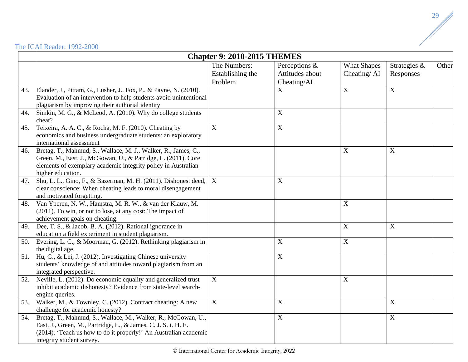<span id="page-29-0"></span>

|     |                                                                                                                                                                                                                                  | <b>Chapter 9: 2010-2015 THEMES</b>          |                                                 |                                   |                           |       |
|-----|----------------------------------------------------------------------------------------------------------------------------------------------------------------------------------------------------------------------------------|---------------------------------------------|-------------------------------------------------|-----------------------------------|---------------------------|-------|
|     |                                                                                                                                                                                                                                  | The Numbers:<br>Establishing the<br>Problem | Perceptions &<br>Attitudes about<br>Cheating/AI | <b>What Shapes</b><br>Cheating/AI | Strategies &<br>Responses | Other |
| 43. | Elander, J., Pittam, G., Lusher, J., Fox, P., & Payne, N. (2010).<br>Evaluation of an intervention to help students avoid unintentional<br>plagiarism by improving their authorial identity                                      |                                             | $\mathbf X$                                     | $\mathbf X$                       | $\mathbf X$               |       |
| 44. | Simkin, M. G., & McLeod, A. (2010). Why do college students<br>cheat?                                                                                                                                                            |                                             | $\boldsymbol{\mathrm{X}}$                       |                                   |                           |       |
| 45. | Teixeira, A. A. C., & Rocha, M. F. (2010). Cheating by<br>economics and business undergraduate students: an exploratory<br>international assessment                                                                              | $\mathbf{X}$                                | $\mathbf X$                                     |                                   |                           |       |
| 46. | Bretag, T., Mahmud, S., Wallace, M. J., Walker, R., James, C.,<br>Green, M., East, J., McGowan, U., & Patridge, L. (2011). Core<br>elements of exemplary academic integrity policy in Australian<br>higher education.            |                                             |                                                 | $\mathbf X$                       | $\mathbf X$               |       |
| 47. | Shu, L. L., Gino, F., & Bazerman, M. H. (2011). Dishonest deed,<br>clear conscience: When cheating leads to moral disengagement<br>and motivated forgetting.                                                                     | X                                           | $\mathbf X$                                     |                                   |                           |       |
| 48. | Van Yperen, N. W., Hamstra, M. R. W., & van der Klauw, M.<br>$(2011)$ . To win, or not to lose, at any cost: The impact of<br>achievement goals on cheating.                                                                     |                                             |                                                 | $\mathbf X$                       |                           |       |
| 49. | Dee, T. S., & Jacob, B. A. (2012). Rational ignorance in<br>education a field experiment in student plagiarism.                                                                                                                  |                                             |                                                 | $\boldsymbol{\mathrm{X}}$         | $\mathbf X$               |       |
| 50. | Evering, L. C., & Moorman, G. (2012). Rethinking plagiarism in<br>the digital age.                                                                                                                                               |                                             | $\boldsymbol{\mathrm{X}}$                       | $\boldsymbol{\mathrm{X}}$         |                           |       |
| 51. | Hu, G., & Lei, J. (2012). Investigating Chinese university<br>students' knowledge of and attitudes toward plagiarism from an<br>integrated perspective.                                                                          |                                             | $\boldsymbol{\mathrm{X}}$                       |                                   |                           |       |
| 52. | Neville, L. (2012). Do economic equality and generalized trust<br>inhibit academic dishonesty? Evidence from state-level search-<br>engine queries.                                                                              | $\mathbf X$                                 |                                                 | $\mathbf X$                       |                           |       |
| 53. | Walker, M., & Townley, C. (2012). Contract cheating: A new<br>challenge for academic honesty?                                                                                                                                    | $\mathbf X$                                 | X                                               |                                   | $\mathbf X$               |       |
| 54. | Bretag, T., Mahmud, S., Wallace, M., Walker, R., McGowan, U.,<br>East, J., Green, M., Partridge, L., & James, C. J. S. i. H. E.<br>(2014). 'Teach us how to do it properly!' An Australian academic<br>integrity student survey. |                                             | $\mathbf X$                                     |                                   | $\mathbf X$               |       |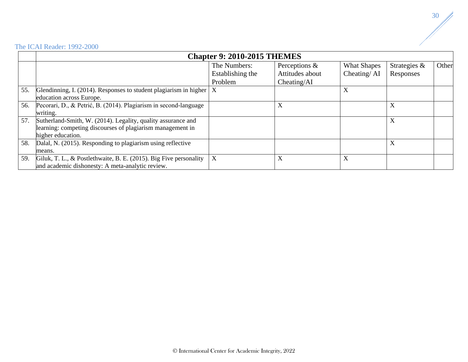|     | <b>Chapter 9: 2010-2015 THEMES</b>                                      |                  |                 |                    |              |       |  |
|-----|-------------------------------------------------------------------------|------------------|-----------------|--------------------|--------------|-------|--|
|     |                                                                         | The Numbers:     | Perceptions &   | <b>What Shapes</b> | Strategies & | Other |  |
|     |                                                                         | Establishing the | Attitudes about | Cheating/AI        | Responses    |       |  |
|     |                                                                         | Problem          | Checking/AI     |                    |              |       |  |
| 55. | Glendinning, I. (2014). Responses to student plagiarism in higher $ X $ |                  |                 | X                  |              |       |  |
|     | education across Europe.                                                |                  |                 |                    |              |       |  |
| 56. | Pecorari, D., & Petrić, B. (2014). Plagiarism in second-language        |                  | X               |                    | X            |       |  |
|     | writing.                                                                |                  |                 |                    |              |       |  |
| 57. | Sutherland-Smith, W. (2014). Legality, quality assurance and            |                  |                 |                    | X            |       |  |
|     | learning: competing discourses of plagiarism management in              |                  |                 |                    |              |       |  |
|     | higher education.                                                       |                  |                 |                    |              |       |  |
| 58. | Dalal, N. (2015). Responding to plagiarism using reflective             |                  |                 |                    | X            |       |  |
|     | means.                                                                  |                  |                 |                    |              |       |  |
| 59. | Giluk, T. L., & Postlethwaite, B. E. (2015). Big Five personality       | X                | X               | X                  |              |       |  |
|     | and academic dishonesty: A meta-analytic review.                        |                  |                 |                    |              |       |  |

 $\frac{1}{\sqrt{2}}$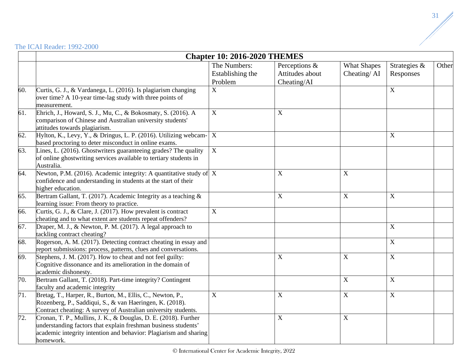| <b>The ICAI Reader: 1992-2000</b> |  |  |
|-----------------------------------|--|--|
|-----------------------------------|--|--|

<span id="page-31-0"></span>

|     |                                                                                                                                                                                                                     | <b>Chapter 10: 2016-2020 THEMES</b>         |                                                 |                                   |                           |       |
|-----|---------------------------------------------------------------------------------------------------------------------------------------------------------------------------------------------------------------------|---------------------------------------------|-------------------------------------------------|-----------------------------------|---------------------------|-------|
|     |                                                                                                                                                                                                                     | The Numbers:<br>Establishing the<br>Problem | Perceptions &<br>Attitudes about<br>Cheating/AI | <b>What Shapes</b><br>Cheating/AI | Strategies &<br>Responses | Other |
| 60. | Curtis, G. J., & Vardanega, L. (2016). Is plagiarism changing<br>over time? A 10-year time-lag study with three points of<br>measurement.                                                                           | $\mathbf X$                                 |                                                 |                                   | $\mathbf X$               |       |
| 61. | Ehrich, J., Howard, S. J., Mu, C., & Bokosmaty, S. (2016). A<br>comparison of Chinese and Australian university students'<br>attitudes towards plagiarism.                                                          | $\mathbf X$                                 | $\boldsymbol{\mathrm{X}}$                       |                                   |                           |       |
| 62. | Hylton, K., Levy, Y., & Dringus, L. P. (2016). Utilizing webcam-<br>based proctoring to deter misconduct in online exams.                                                                                           | $\mathbf X$                                 |                                                 |                                   | $\mathbf X$               |       |
| 63. | Lines, L. (2016). Ghostwriters guaranteeing grades? The quality<br>of online ghostwriting services available to tertiary students in<br>Australia.                                                                  | $\mathbf X$                                 |                                                 |                                   |                           |       |
| 64. | Newton, P.M. (2016). Academic integrity: A quantitative study of $\mathbf X$<br>confidence and understanding in students at the start of their<br>higher education.                                                 |                                             | $\mathbf X$                                     | $\boldsymbol{\mathrm{X}}$         |                           |       |
| 65. | Bertram Gallant, T. (2017). Academic Integrity as a teaching $\&$<br>learning issue: From theory to practice.                                                                                                       |                                             | $\mathbf X$                                     | X                                 | $\overline{X}$            |       |
| 66. | Curtis, G. J., & Clare, J. (2017). How prevalent is contract<br>cheating and to what extent are students repeat offenders?                                                                                          | $\mathbf X$                                 |                                                 |                                   |                           |       |
| 67. | Draper, M. J., & Newton, P. M. (2017). A legal approach to<br>tackling contract cheating?                                                                                                                           |                                             |                                                 |                                   | $\mathbf X$               |       |
| 68. | Rogerson, A. M. (2017). Detecting contract cheating in essay and<br>report submissions: process, patterns, clues and conversations.                                                                                 |                                             |                                                 |                                   | $\mathbf X$               |       |
| 69. | Stephens, J. M. (2017). How to cheat and not feel guilty:<br>Cognitive dissonance and its amelioration in the domain of<br>academic dishonesty.                                                                     |                                             | $\mathbf X$                                     | $\boldsymbol{\mathrm{X}}$         | $\mathbf X$               |       |
| 70. | Bertram Gallant, T. (2018). Part-time integrity? Contingent<br>faculty and academic integrity                                                                                                                       |                                             |                                                 | X                                 | $\mathbf X$               |       |
| 71. | Bretag, T., Harper, R., Burton, M., Ellis, C., Newton, P.,<br>Rozenberg, P., Saddiqui, S., & van Haeringen, K. (2018).<br>Contract cheating: A survey of Australian university students.                            | $\mathbf X$                                 | $\mathbf X$                                     | $\boldsymbol{\mathrm{X}}$         | $\mathbf X$               |       |
| 72. | Cronan, T. P., Mullins, J. K., & Douglas, D. E. (2018). Further<br>understanding factors that explain freshman business students'<br>academic integrity intention and behavior: Plagiarism and sharing<br>homework. |                                             | $\mathbf X$                                     | $\boldsymbol{\mathrm{X}}$         |                           |       |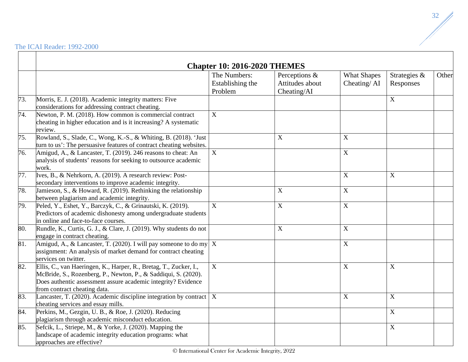|     |                                                                                                                                                                                                                                      | <b>Chapter 10: 2016-2020 THEMES</b><br>The Numbers: | Perceptions &   | <b>What Shapes</b> | Strategies &              | Other |
|-----|--------------------------------------------------------------------------------------------------------------------------------------------------------------------------------------------------------------------------------------|-----------------------------------------------------|-----------------|--------------------|---------------------------|-------|
|     |                                                                                                                                                                                                                                      | Establishing the                                    | Attitudes about | Cheating/AI        | Responses                 |       |
|     |                                                                                                                                                                                                                                      | Problem                                             | Cheating/AI     |                    |                           |       |
| 73. | Morris, E. J. (2018). Academic integrity matters: Five<br>considerations for addressing contract cheating.                                                                                                                           |                                                     |                 |                    | $\overline{X}$            |       |
| 74. | Newton, P. M. (2018). How common is commercial contract<br>cheating in higher education and is it increasing? A systematic<br>review.                                                                                                | $\overline{X}$                                      |                 |                    |                           |       |
| 75. | Rowland, S., Slade, C., Wong, K.-S., & Whiting, B. (2018). 'Just<br>turn to us': The persuasive features of contract cheating websites.                                                                                              |                                                     | $\mathbf X$     | $\mathbf X$        |                           |       |
| 76. | Amigud, A., & Lancaster, T. (2019). 246 reasons to cheat: An<br>analysis of students' reasons for seeking to outsource academic<br>work.                                                                                             | $\overline{X}$                                      |                 | $\mathbf X$        |                           |       |
| 77. | Ives, B., & Nehrkorn, A. (2019). A research review: Post-<br>secondary interventions to improve academic integrity.                                                                                                                  |                                                     |                 | $\mathbf X$        | $\mathbf X$               |       |
| 78. | Jamieson, S., $\&$ Howard, R. (2019). Rethinking the relationship<br>between plagiarism and academic integrity.                                                                                                                      |                                                     | $\mathbf X$     | $\mathbf X$        |                           |       |
| 79. | Peled, Y., Eshet, Y., Barczyk, C., & Grinautski, K. (2019).<br>Predictors of academic dishonesty among undergraduate students<br>in online and face-to-face courses.                                                                 | $\overline{X}$                                      | X               | $\mathbf X$        |                           |       |
| 80. | Rundle, K., Curtis, G. J., & Clare, J. (2019). Why students do not<br>engage in contract cheating.                                                                                                                                   |                                                     | $\mathbf X$     | $\mathbf X$        |                           |       |
| 81. | Amigud, A., & Lancaster, T. (2020). I will pay someone to do my $X$<br>assignment: An analysis of market demand for contract cheating<br>services on twitter.                                                                        |                                                     |                 | $\mathbf X$        |                           |       |
| 82. | Ellis, C., van Haeringen, K., Harper, R., Bretag, T., Zucker, I.,<br>McBride, S., Rozenberg, P., Newton, P., & Saddiqui, S. (2020).<br>Does authentic assessment assure academic integrity? Evidence<br>from contract cheating data. | $\overline{X}$                                      |                 | $\mathbf X$        | $\boldsymbol{\mathrm{X}}$ |       |
| 83. | Lancaster, T. (2020). Academic discipline integration by contract $\mid X \mid$<br>cheating services and essay mills.                                                                                                                |                                                     |                 | X                  | $\mathbf X$               |       |
| 84. | Perkins, M., Gezgin, U. B., & Roe, J. (2020). Reducing<br>plagiarism through academic misconduct education.                                                                                                                          |                                                     |                 |                    | $\mathbf X$               |       |
| 85. | Sefcik, L., Striepe, M., & Yorke, J. (2020). Mapping the<br>landscape of academic integrity education programs: what<br>approaches are effective?                                                                                    |                                                     |                 |                    | $\mathbf X$               |       |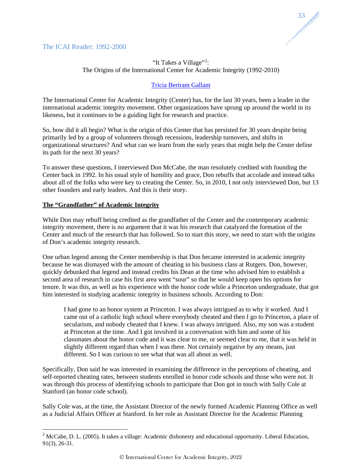<span id="page-33-0"></span>



# "It Takes a Village"<sup>[2](#page-33-1)</sup>: The Origins of the International Center for Academic Integrity (1992-2010)

# [Tricia Bertram Gallant](mailto:tbg@ucsd.edu)

The International Center for Academic Integrity (Center) has, for the last 30 years, been a leader in the international academic integrity movement. Other organizations have sprung up around the world in its likeness, but it continues to be a guiding light for research and practice.

So, how did it all begin? What is the origin of this Center that has persisted for 30 years despite being primarily led by a group of volunteers through recessions, leadership turnovers, and shifts in organizational structures? And what can we learn from the early years that might help the Center define its path for the next 30 years?

To answer these questions, I interviewed Don McCabe, the man resolutely credited with founding the Center back in 1992. In his usual style of humility and grace, Don rebuffs that accolade and instead talks about all of the folks who were key to creating the Center. So, in 2010, I not only interviewed Don, but 13 other founders and early leaders. And this is their story.

# **The "Grandfather" of Academic Integrity**

While Don may rebuff being credited as the grandfather of the Center and the contemporary academic integrity movement, there is no argument that it was his research that catalyzed the formation of the Center and much of the research that has followed. So to start this story, we need to start with the origins of Don's academic integrity research.

One urban legend among the Center membership is that Don became interested in academic integrity because he was dismayed with the amount of cheating in his business class at Rutgers. Don, however, quickly debunked that legend and instead credits his Dean at the time who advised him to establish a second area of research in case his first area went "sour" so that he would keep open his options for tenure. It was this, as well as his experience with the honor code while a Princeton undergraduate, that got him interested in studying academic integrity in business schools. According to Don:

I had gone to an honor system at Princeton. I was always intrigued as to why it worked. And I came out of a catholic high school where everybody cheated and then I go to Princeton, a place of secularism, and nobody cheated that I knew. I was always intrigued. Also, my son was a student at Princeton at the time. And I got involved in a conversation with him and some of his classmates about the honor code and it was clear to me, or seemed clear to me, that it was held in slightly different regard than when I was there. Not certainly negative by any means, just different. So I was curious to see what that was all about as well.

Specifically, Don said he was interested in examining the difference in the perceptions of cheating, and self-reported cheating rates, between students enrolled in honor code schools and those who were not. It was through this process of identifying schools to participate that Don got in touch with Sally Cole at Stanford (an honor code school).

Sally Cole was, at the time, the Assistant Director of the newly formed Academic Planning Office as well as a Judicial Affairs Officer at Stanford. In her role as Assistant Director for the Academic Planning

<span id="page-33-1"></span><sup>&</sup>lt;sup>2</sup> McCabe, D. L. (2005). It takes a village: Academic dishonesty and educational opportunity. Liberal Education, 91(3), 26-31.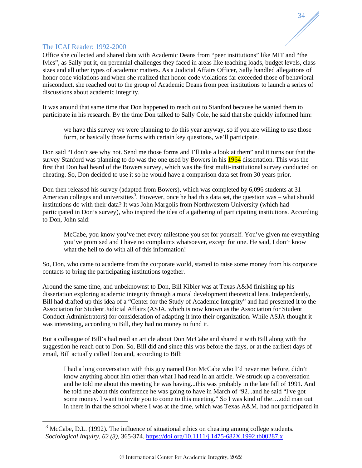Office she collected and shared data with Academic Deans from "peer institutions" like MIT and "the Ivies", as Sally put it, on perennial challenges they faced in areas like teaching loads, budget levels, class sizes and all other types of academic matters. As a Judicial Affairs Officer, Sally handled allegations of honor code violations and when she realized that honor code violations far exceeded those of behavioral misconduct, she reached out to the group of Academic Deans from peer institutions to launch a series of discussions about academic integrity.

34

It was around that same time that Don happened to reach out to Stanford because he wanted them to participate in his research. By the time Don talked to Sally Cole, he said that she quickly informed him:

we have this survey we were planning to do this year anyway, so if you are willing to use those form, or basically those forms with certain key questions, we'll participate.

Don said "I don't see why not. Send me those forms and I'll take a look at them" and it turns out that the survey Stanford was planning to do was the one used by Bowers in his 1964 dissertation. This was the first that Don had heard of the Bowers survey, which was the first multi-institutional survey conducted on cheating. So, Don decided to use it so he would have a comparison data set from 30 years prior.

Don then released his survey (adapted from Bowers), which was completed by 6,096 students at 31 American colleges and universities<sup>[3](#page-34-0)</sup>. However, once he had this data set, the question was – what should institutions do with their data? It was John Margolis from Northwestern University (which had participated in Don's survey), who inspired the idea of a gathering of participating institutions. According to Don, John said:

McCabe, you know you've met every milestone you set for yourself. You've given me everything you've promised and I have no complaints whatsoever, except for one. He said, I don't know what the hell to do with all of this information!

So, Don, who came to academe from the corporate world, started to raise some money from his corporate contacts to bring the participating institutions together.

Around the same time, and unbeknownst to Don, Bill Kibler was at Texas A&M finishing up his dissertation exploring academic integrity through a moral development theoretical lens. Independently, Bill had drafted up this idea of a "Center for the Study of Academic Integrity" and had presented it to the Association for Student Judicial Affairs (ASJA, which is now known as the Association for Student Conduct Administrators) for consideration of adapting it into their organization. While ASJA thought it was interesting, according to Bill, they had no money to fund it.

But a colleague of Bill's had read an article about Don McCabe and shared it with Bill along with the suggestion he reach out to Don. So, Bill did and since this was before the days, or at the earliest days of email, Bill actually called Don and, according to Bill:

I had a long conversation with this guy named Don McCabe who I'd never met before, didn't know anything about him other than what I had read in an article. We struck up a conversation and he told me about this meeting he was having...this was probably in the late fall of 1991. And he told me about this conference he was going to have in March of '92...and he said "I've got some money. I want to invite you to come to this meeting." So I was kind of the….odd man out in there in that the school where I was at the time, which was Texas A&M, had not participated in

<span id="page-34-0"></span><sup>&</sup>lt;sup>3</sup> McCabe, D.L. (1992). The influence of situational ethics on cheating among college students. *Sociological Inquiry, 62 (3)*, 365-374. <https://doi.org/10.1111/j.1475-682X.1992.tb00287.x>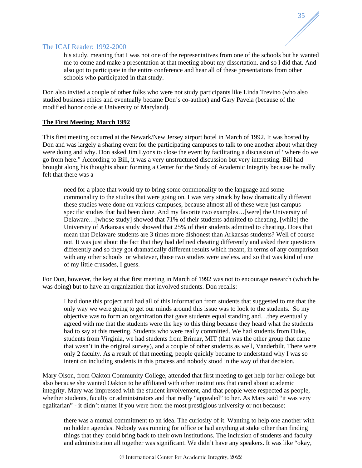his study, meaning that I was not one of the representatives from one of the schools but he wanted me to come and make a presentation at that meeting about my dissertation. and so I did that. And also got to participate in the entire conference and hear all of these presentations from other schools who participated in that study.

35

Don also invited a couple of other folks who were not study participants like Linda Trevino (who also studied business ethics and eventually became Don's co-author) and Gary Pavela (because of the modified honor code at University of Maryland).

#### **The First Meeting: March 1992**

This first meeting occurred at the Newark/New Jersey airport hotel in March of 1992. It was hosted by Don and was largely a sharing event for the participating campuses to talk to one another about what they were doing and why. Don asked Jim Lyons to close the event by facilitating a discussion of "where do we go from here." According to Bill, it was a very unstructured discussion but very interesting. Bill had brought along his thoughts about forming a Center for the Study of Academic Integrity because he really felt that there was a

need for a place that would try to bring some commonality to the language and some commonality to the studies that were going on. I was very struck by how dramatically different these studies were done on various campuses, because almost all of these were just campusspecific studies that had been done. And my favorite two examples…[were] the University of Delaware…[whose study] showed that 71% of their students admitted to cheating, [while] the University of Arkansas study showed that 25% of their students admitted to cheating. Does that mean that Delaware students are 3 times more dishonest than Arkansas students? Well of course not. It was just about the fact that they had defined cheating differently and asked their questions differently and so they got dramatically different results which meant, in terms of any comparison with any other schools or whatever, those two studies were useless. and so that was kind of one of my little crusades, I guess.

For Don, however, the key at that first meeting in March of 1992 was not to encourage research (which he was doing) but to have an organization that involved students. Don recalls:

I had done this project and had all of this information from students that suggested to me that the only way we were going to get our minds around this issue was to look to the students. So my objective was to form an organization that gave students equal standing and…they eventually agreed with me that the students were the key to this thing because they heard what the students had to say at this meeting. Students who were really committed. We had students from Duke, students from Virginia, we had students from Brimar, MIT (that was the other group that came that wasn't in the original survey), and a couple of other students as well, Vanderbilt. There were only 2 faculty. As a result of that meeting, people quickly became to understand why I was so intent on including students in this process and nobody stood in the way of that decision.

Mary Olson, from Oakton Community College, attended that first meeting to get help for her college but also because she wanted Oakton to be affiliated with other institutions that cared about academic integrity. Mary was impressed with the student involvement, and that people were respected as people, whether students, faculty or administrators and that really "appealed" to her. As Mary said "it was very egalitarian" - it didn't matter if you were from the most prestigious university or not because:

there was a mutual commitment to an idea. The curiosity of it. Wanting to help one another with no hidden agendas. Nobody was running for office or had anything at stake other than finding things that they could bring back to their own institutions. The inclusion of students and faculty and administration all together was significant. We didn't have any speakers. It was like "okay,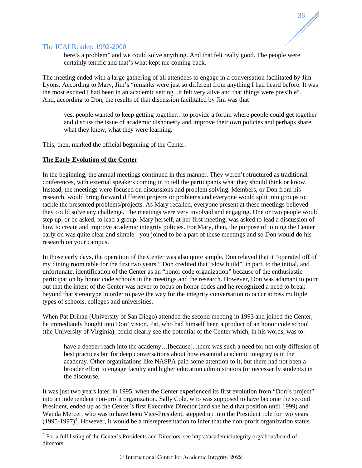here's a problem" and we could solve anything. And that felt really good. The people were certainly terrific and that's what kept me coming back.

The meeting ended with a large gathering of all attendees to engage in a conversation facilitated by Jim Lyons. According to Mary, Jim's "remarks were just so different from anything I had heard before. It was the most excited I had been in an academic setting...it felt very alive and that things were possible". And, according to Don, the results of that discussion facilitated by Jim was that

yes, people wanted to keep getting together…to provide a forum where people could get together and discuss the issue of academic dishonesty and improve their own policies and perhaps share what they knew, what they were learning.

This, then, marked the official beginning of the Center.

#### **The Early Evolution of the Center**

In the beginning, the annual meetings continued in this manner. They weren't structured as traditional conferences, with external speakers coming in to tell the participants what they should think or know. Instead, the meetings were focused on discussions and problem solving. Members, or Don from his research, would bring forward different projects or problems and everyone would split into groups to tackle the presented problems/projects. As Mary recalled, everyone present at these meetings believed they could solve any challenge. The meetings were very involved and engaging. One or two people would step up, or be asked, to lead a group. Mary herself, at her first meeting, was asked to lead a discussion of how to create and improve academic integrity policies. For Mary, then, the purpose of joining the Center early on was quite clear and simple - you joined to be a part of these meetings and so Don would do his research on your campus.

In those early days, the operation of the Center was also quite simple. Don relayed that it "operated off of my dining room table for the first two years." Don credited that "slow build", in part, to the initial, and unfortunate, identification of the Center as an "honor code organization" because of the enthusiastic participation by honor code schools in the meetings and the research. However, Don was adamant to point out that the intent of the Center was never to focus on honor codes and he recognized a need to break beyond that stereotype in order to pave the way for the integrity conversation to occur across multiple types of schools, colleges and universities.

When Pat Drinan (University of San Diego) attended the second meeting in 1993 and joined the Center, he immediately bought into Don' vision. Pat, who had himself been a product of an honor code school (the University of Virginia), could clearly see the potential of the Center which, in his words, was to:

have a deeper reach into the academy...[because]...there was such a need for not only diffusion of best practices but for deep conversations about how essential academic integrity is in the academy. Other organizations like NASPA paid some attention to it, but there had not been a broader effort to engage faculty and higher education administrators (or necessarily students) in the discourse.

It was just two years later, in 1995, when the Center experienced its first evolution from "Don's project" into an independent non-profit organization. Sally Cole, who was supposed to have become the second President, ended up as the Center's first Executive Director (and she held that position until 1999) and Wanda Mercer, who was to have been Vice-President, stepped up into the President role for two years  $(1995-1997)^4$  $(1995-1997)^4$ . However, it would be a misrepresentation to infer that the non-profit organization status

<span id="page-36-0"></span> <sup>4</sup> For a full listing of the Center's Presidents and Directors, see https://academicintegrity.org/about/board-ofdirectors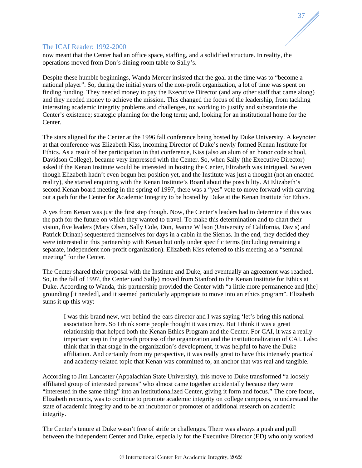# 37

# The ICAI Reader: 1992-2000

now meant that the Center had an office space, staffing, and a solidified structure. In reality, the operations moved from Don's dining room table to Sally's.

Despite these humble beginnings, Wanda Mercer insisted that the goal at the time was to "become a national player". So, during the initial years of the non-profit organization, a lot of time was spent on finding funding. They needed money to pay the Executive Director (and any other staff that came along) and they needed money to achieve the mission. This changed the focus of the leadership, from tackling interesting academic integrity problems and challenges, to: working to justify and substantiate the Center's existence; strategic planning for the long term; and, looking for an institutional home for the Center.

The stars aligned for the Center at the 1996 fall conference being hosted by Duke University. A keynoter at that conference was Elizabeth Kiss, incoming Director of Duke's newly formed Kenan Institute for Ethics. As a result of her participation in that conference, Kiss (also an alum of an honor code school, Davidson College), became very impressed with the Center. So, when Sally (the Executive Director) asked if the Kenan Institute would be interested in hosting the Center, Elizabeth was intrigued. So even though Elizabeth hadn't even begun her position yet, and the Institute was just a thought (not an enacted reality), she started enquiring with the Kenan Institute's Board about the possibility. At Elizabeth's second Kenan board meeting in the spring of 1997, there was a "yes" vote to move forward with carving out a path for the Center for Academic Integrity to be hosted by Duke at the Kenan Institute for Ethics.

A yes from Kenan was just the first step though. Now, the Center's leaders had to determine if this was the path for the future on which they wanted to travel. To make this determination and to chart their vision, five leaders (Mary Olsen, Sally Cole, Don, Jeanne Wilson (University of California, Davis) and Patrick Drinan) sequestered themselves for days in a cabin in the Sierras. In the end, they decided they were interested in this partnership with Kenan but only under specific terms (including remaining a separate, independent non-profit organization). Elizabeth Kiss referred to this meeting as a "seminal meeting" for the Center.

The Center shared their proposal with the Institute and Duke, and eventually an agreement was reached. So, in the fall of 1997, the Center (and Sally) moved from Stanford to the Kenan Institute for Ethics at Duke. According to Wanda, this partnership provided the Center with "a little more permanence and [the] grounding [it needed], and it seemed particularly appropriate to move into an ethics program". Elizabeth sums it up this way:

I was this brand new, wet-behind-the-ears director and I was saying 'let's bring this national association here. So I think some people thought it was crazy. But I think it was a great relationship that helped both the Kenan Ethics Program and the Center. For CAI, it was a really important step in the growth process of the organization and the institutionalization of CAI. I also think that in that stage in the organization's development, it was helpful to have the Duke affiliation. And certainly from my perspective, it was really great to have this intensely practical and academy-related topic that Kenan was committed to, an anchor that was real and tangible.

According to Jim Lancaster (Appalachian State University), this move to Duke transformed "a loosely affiliated group of interested persons" who almost came together accidentally because they were "interested in the same thing" into an institutionalized Center, giving it form and focus." The core focus, Elizabeth recounts, was to continue to promote academic integrity on college campuses, to understand the state of academic integrity and to be an incubator or promoter of additional research on academic integrity.

The Center's tenure at Duke wasn't free of strife or challenges. There was always a push and pull between the independent Center and Duke, especially for the Executive Director (ED) who only worked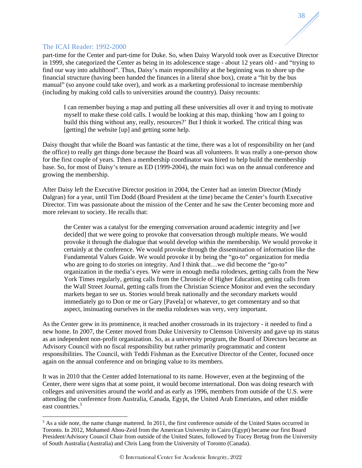part-time for the Center and part-time for Duke. So, when Daisy Waryold took over as Executive Director in 1999, she categorized the Center as being in its adolescence stage - about 12 years old - and "trying to find our way into adulthood". Thus, Daisy's main responsibility at the beginning was to shore up the financial structure (having been handed the finances in a literal shoe box), create a "hit by the bus manual" (so anyone could take over), and work as a marketing professional to increase membership (including by making cold calls to universities around the country). Daisy recounts:

38

I can remember buying a map and putting all these universities all over it and trying to motivate myself to make these cold calls. I would be looking at this map, thinking 'how am I going to build this thing without any, really, resources?' But I think it worked. The critical thing was [getting] the website [up] and getting some help.

Daisy thought that while the Board was fantastic at the time, there was a lot of responsibility on her (and the office) to really get things done because the Board was all volunteers. It was really a one-person show for the first couple of years. Tthen a membership coordinator was hired to help build the membership base. So, for most of Daisy's tenure as ED (1999-2004), the main foci was on the annual conference and growing the membership.

After Daisy left the Executive Director position in 2004, the Center had an interim Director (Mindy Dalgran) for a year, until Tim Dodd (Board President at the time) became the Center's fourth Executive Director. Tim was passionate about the mission of the Center and he saw the Center becoming more and more relevant to society. He recalls that:

the Center was a catalyst for the emerging conversation around academic integrity and [we decided] that we were going to provoke that conversation through multiple means. We would provoke it through the dialogue that would develop within the membership. We would provoke it certainly at the conference. We would provoke through the dissemination of information like the Fundamental Values Guide. We would provoke it by being the "go-to" organization for media who are going to do stories on integrity. And I think that...we did become the "go-to" organization in the media's eyes. We were in enough media rolodexes, getting calls from the New York Times regularly, getting calls from the Chronicle of Higher Education, getting calls from the Wall Street Journal, getting calls from the Christian Science Monitor and even the secondary markets began to see us. Stories would break nationally and the secondary markets would immediately go to Don or me or Gary [Pavela] or whatever, to get commentary and so that aspect, insinuating ourselves in the media rolodexes was very, very important.

As the Center grew in its prominence, it reached another crossroads in its trajectory - it needed to find a new home. In 2007, the Center moved from Duke University to Clemson University and gave up its status as an independent non-profit organization. So, as a university program, the Board of Directors became an Advisory Council with no fiscal responsibility but rather primarily programmatic and content responsibilities. The Council, with Teddi Fishman as the Executive Director of the Center, focused once again on the annual conference and on bringing value to its members.

It was in 2010 that the Center added International to its name. However, even at the beginning of the Center, there were signs that at some point, it would become international. Don was doing research with colleges and universities around the world and as early as 1996, members from outside of the U.S. were attending the conference from Australia, Canada, Egypt, the United Arab Emeriates, and other middle east countries.<sup>[5](#page-38-0)</sup>

<span id="page-38-0"></span> $5$  As a side note, the name change mattered. In 2011, the first conference outside of the United States occurred in Toronto. In 2012, Mohamed Abou-Zeid from the American University in Cairo (Egypt) became our first Board President/Advisory Council Chair from outside of the United States, followed by Tracey Bretag from the University of South Australia (Australia) and Chris Lang from the University of Toronto (Canada).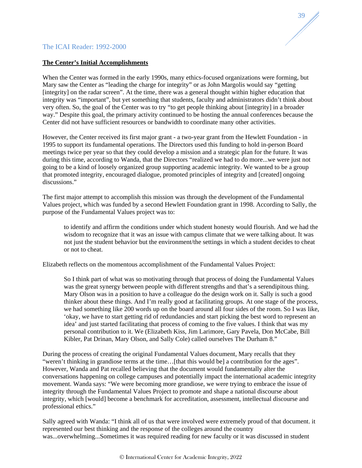

#### **The Center's Initial Accomplishments**

When the Center was formed in the early 1990s, many ethics-focused organizations were forming, but Mary saw the Center as "leading the charge for integrity" or as John Margolis would say "getting [integrity] on the radar screen". At the time, there was a general thought within higher education that integrity was "important", but yet something that students, faculty and administrators didn't think about very often. So, the goal of the Center was to try "to get people thinking about [integrity] in a broader way." Despite this goal, the primary activity continued to be hosting the annual conferences because the Center did not have sufficient resources or bandwidth to coordinate many other activities.

However, the Center received its first major grant - a two-year grant from the Hewlett Foundation - in 1995 to support its fundamental operations. The Directors used this funding to hold in-person Board meetings twice per year so that they could develop a mission and a strategic plan for the future. It was during this time, according to Wanda, that the Directors "realized we had to do more...we were just not going to be a kind of loosely organized group supporting academic integrity. We wanted to be a group that promoted integrity, encouraged dialogue, promoted principles of integrity and [created] ongoing discussions."

The first major attempt to accomplish this mission was through the development of the Fundamental Values project, which was funded by a second Hewlett Foundation grant in 1998. According to Sally, the purpose of the Fundamental Values project was to:

to identify and affirm the conditions under which student honesty would flourish. And we had the wisdom to recognize that it was an issue with campus climate that we were talking about. It was not just the student behavior but the environment/the settings in which a student decides to cheat or not to cheat.

Elizabeth reflects on the momentous accomplishment of the Fundamental Values Project:

So I think part of what was so motivating through that process of doing the Fundamental Values was the great synergy between people with different strengths and that's a serendipitous thing. Mary Olson was in a position to have a colleague do the design work on it. Sally is such a good thinker about these things. And I'm really good at facilitating groups. At one stage of the process, we had something like 200 words up on the board around all four sides of the room. So I was like, 'okay, we have to start getting rid of redundancies and start picking the best word to represent an idea' and just started facilitating that process of coming to the five values. I think that was my personal contribution to it. We (Elizabeth Kiss, Jim Larimore, Gary Pavela, Don McCabe, Bill Kibler, Pat Drinan, Mary Olson, and Sally Cole) called ourselves The Durham 8."

During the process of creating the original Fundamental Values document, Mary recalls that they "weren't thinking in grandiose terms at the time…[that this would be] a contribution for the ages". However, Wanda and Pat recalled believing that the document would fundamentally alter the conversations happening on college campuses and potentially impact the international academic integrity movement. Wanda says: "We were becoming more grandiose, we were trying to embrace the issue of integrity through the Fundamental Values Project to promote and shape a national discourse about integrity, which [would] become a benchmark for accreditation, assessment, intellectual discourse and professional ethics."

Sally agreed with Wanda: "I think all of us that were involved were extremely proud of that document. it represented our best thinking and the response of the colleges around the country was...overwhelming...Sometimes it was required reading for new faculty or it was discussed in student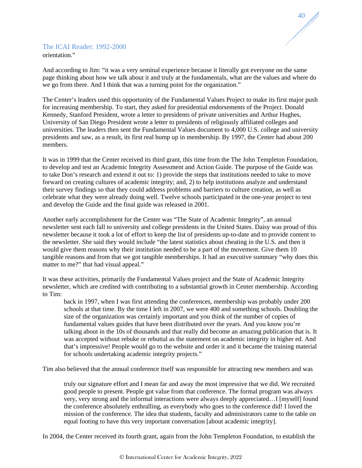

# The ICAI Reader: 1992-2000 orientation."

And according to Jim: "it was a very seminal experience because it literally got everyone on the same page thinking about how we talk about it and truly at the fundamentals, what are the values and where do we go from there. And I think that was a turning point for the organization."

The Center's leaders used this opportunity of the Fundamental Values Project to make its first major push for increasing membership. To start, they asked for presidential endorsements of the Project. Donald Kennedy, Stanford President, wrote a letter to presidents of private universities and Arthur Hughes, University of San Diego President wrote a letter to presidents of religiously affiliated colleges and universities. The leaders then sent the Fundamental Values document to 4,000 U.S. college and university presidents and saw, as a result, its first real bump up in membership. By 1997, the Center had about 200 members.

It was in 1999 that the Center received its third grant, this time from the The John Templeton Foundation, to develop and test an Academic Integrity Assessment and Action Guide. The purpose of the Guide was to take Don's research and extend it out to: 1) provide the steps that institutions needed to take to move forward on creating cultures of academic integrity; and, 2) to help institutions analyze and understand their survey findings so that they could address problems and barriers to culture creation, as well as celebrate what they were already doing well. Twelve schools participated in the one-year project to test and develop the Guide and the final guide was released in 2001.

Another early accomplishment for the Center was "The State of Academic Integrity", an annual newsletter sent each fall to university and college presidents in the United States. Daisy was proud of this newsletter because it took a lot of effort to keep the list of presidents up-to-date and to provide content to the newsletter. She said they would include "the latest statistics about cheating in the U.S. and then it would give them reasons why their institution needed to be a part of the movement. Give them 10 tangible reasons and from that we got tangible memberships. It had an executive summary "why does this matter to me?" that had visual appeal."

It was these activities, primarily the Fundamental Values project and the State of Academic Integrity newsletter, which are credited with contributing to a substantial growth in Center membership. According to Tim:

back in 1997, when I was first attending the conferences, membership was probably under 200 schools at that time. By the time I left in 2007, we were 400 and something schools. Doubling the size of the organization was certainly important and you think of the number of copies of fundamental values guides that have been distributed over the years. And you know you're talking about in the 10s of thousands and that really did become an amazing publication that is. It was accepted without rebuke or rebuttal as the statement on academic integrity in higher ed. And that's impressive! People would go to the website and order it and it became the training material for schools undertaking academic integrity projects."

Tim also believed that the annual conference itself was responsible for attracting new members and was

truly our signature effort and I mean far and away the most impressive that we did. We recruited good people to present. People got value from that conference. The formal program was always very, very strong and the informal interactions were always deeply appreciated…I [myself] found the conference absolutely enthralling, as everybody who goes to the conference did! I loved the mission of the conference. The idea that students, faculty and administrators came to the table on equal footing to have this very important conversation [about academic integrity].

In 2004, the Center received its fourth grant, again from the John Templeton Foundation, to establish the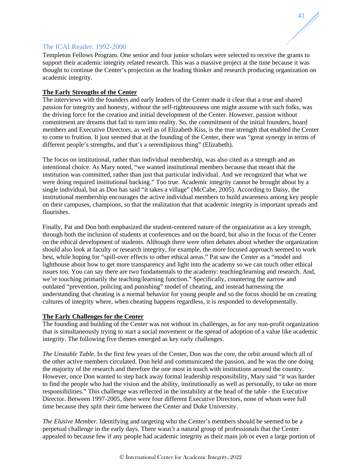Templeton Fellows Program. One senior and four junior scholars were selected to receive the grants to support their academic integrity related research. This was a massive project at the time because it was thought to continue the Center's projection as the leading thinker and research producing organization on academic integrity.

41

# **The Early Strengths of the Center**

The interviews with the founders and early leaders of the Center made it clear that a true and shared passion for integrity and honesty, without the self-righteousness one might assume with such folks, was the driving force for the creation and initial development of the Center. However, passion without commitment are dreams that fail to turn into reality. So, the commitment of the initial founders, board members and Executive Directors, as well as of Elizabeth Kiss, is the true strength that enabled the Center to come to fruition. It just seemed that at the founding of the Center, there was "great synergy in terms of different people's strengths, and that's a serendipitous thing" (Elizabeth).

The focus on institutional, rather than individual membership, was also cited as a strength and an intentional choice. As Mary noted, "we wanted institutional members because that meant that the institution was committed, rather than just that particular individual. And we recognized that what we were doing required institutional backing." Too true. Academic integrity cannot be brought about by a single individual, but as Don has said "it takes a village" (McCabe, 2005). According to Daisy, the institutional membership encourages the active individual members to build awareness among key people on their campuses, champions, so that the realization that that academic integrity is important spreads and flourishes.

Finally, Pat and Don both emphasized the student-centered nature of the organization as a key strength, through both the inclusion of students at conferences and on the board, but also in the focus of the Center on the ethical development of students. Although there were often debates about whether the organization should also look at faculty or research integrity, for example, the more focused approach seemed to work best, while hoping for "spill-over effects to other ethical areas." Pat saw the Center as a "model and lighthouse about how to get more transparency and light into the academy so we can touch other ethical issues too. You can say there are two fundamentals to the academy: teaching/learning and research. And, we're touching primarily the teaching/learning function." Specifically, countering the narrow and outdated "prevention, policing and punishing" model of cheating, and instead harnessing the understanding that cheating is a normal behavior for young people and so the focus should be on creating cultures of integrity where, when cheating happens regardless, it is responded to developmentally.

# **The Early Challenges for the Center**

The founding and building of the Center was not without its challenges, as for any non-profit organization that is simultaneously trying to start a social movement or the spread of adoption of a value like academic integrity. The following five themes emerged as key early challenges.

*The Unstable Table.* In the first few years of the Center, Don was the core, the orbit around which all of the other active members circulated. Don held and communicated the passion, and he was the one doing the majority of the research and therefore the one most in touch with institutions around the country. However, once Don wanted to step back away formal leadership responsibility, Mary said "it was harder to find the people who had the vision and the ability, institutionally as well as personally, to take on more responsibilities." This challenge was reflected in the instability at the head of the table - the Executive Director. Between 1997-2005, there were four different Executive Directors, none of whom were full time because they split their time between the Center and Duke University.

*The Elusive Member.* Identifying and targeting who the Center's members should be seemed to be a perpetual challenge in the early days. There wasn't a natural group of professionals that the Center appealed to because few if any people had academic integrity as their main job or even a large portion of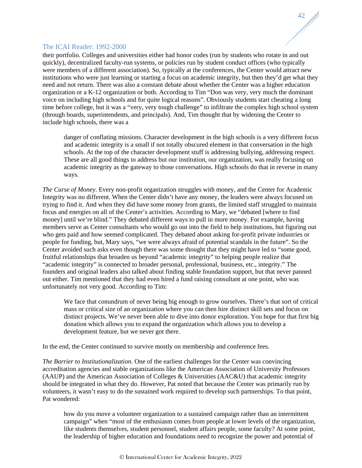their portfolio. Colleges and universities either had honor codes (run by students who rotate in and out quickly), decentralized faculty-run systems, or policies run by student conduct offices (who typically were members of a different association). So, typically at the conferences, the Center would attract new institutions who were just learning or starting a focus on academic integrity, but then they'd get what they need and not return. There was also a constant debate about whether the Center was a higher education organization or a K-12 organization or both. According to Tim "Don was very, very much the dominant voice on including high schools and for quite logical reasons". Obviously students start cheating a long time before college, but it was a "very, very tough challenge" to infiltrate the complex high school system (through boards, superintendents, and principals). And, Tim thought that by widening the Center to include high schools, there was a

42

danger of conflating missions. Character development in the high schools is a very different focus and academic integrity is a small if not totally obscured element in that conversation in the high schools. At the top of the character development stuff is addressing bullying, addressing respect. These are all good things to address but our institution, our organization, was really focusing on academic integrity as the gateway to those conversations. High schools do that in reverse in many ways.

*The Curse of Money*. Every non-profit organization struggles with money, and the Center for Academic Integrity was no different. When the Center didn't have any money, the leaders were always focused on trying to find it. And when they did have some money from grants, the limited staff struggled to maintain focus and energies on all of the Center's activities. According to Mary, we "debated [where to find money] until we're blind." They debated different ways to pull in more money. For example, having members serve as Center consultants who would go out into the field to help institutions, but figuring out who gets paid and how seemed complicated. They debated about asking for-profit private industries or people for funding, but, Mary says, "we were always afraid of potential scandals in the future". So the Center avoided such asks even though there was some thought that they might have led to "some good, fruitful relationships that broaden us beyond "academic integrity" to helping people realize that "academic integrity" is connected to broader personal, professional, business, etc., integrity." The founders and original leaders also talked about finding stable foundation support, but that never panned out either. Tim mentioned that they had even hired a fund raising consultant at one point, who was unfortunately not very good. According to Tim:

We face that conundrum of never being big enough to grow ourselves. There's that sort of critical mass or critical size of an organization where you can then hire distinct skill sets and focus on distinct projects. We've never been able to dive into donor exploration. You hope for that first big donation which allows you to expand the organization which allows you to develop a development feature, but we never got there.

In the end, the Center continued to survive mostly on membership and conference fees.

*The Barrier to Institutionalization.* One of the earliest challenges for the Center was convincing accreditation agencies and stable organizations like the American Association of University Professors (AAUP) and the American Association of Colleges & Universities (AAC&U) that academic integrity should be integrated in what they do. However, Pat noted that because the Center was primarily run by volunteers, it wasn't easy to do the sustained work required to develop such partnerships. To that point, Pat wondered:

how do you move a volunteer organization to a sustained campaign rather than an intermittent campaign" when "most of the enthusiasm comes from people at lower levels of the organization, like students themselves, student personnel, student affairs people, some faculty? At some point, the leadership of higher education and foundations need to recognize the power and potential of